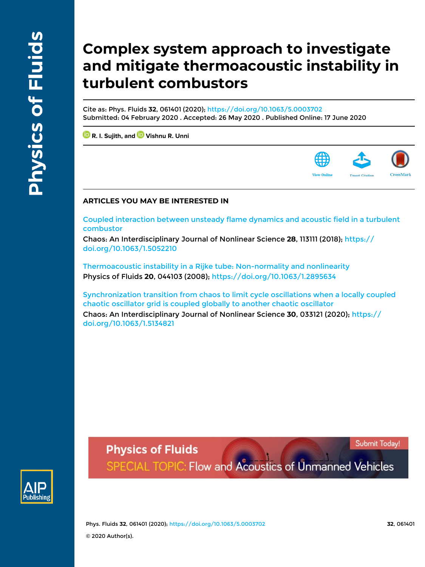# **Complex system approach to investigate and mitigate thermoacoustic instability in turbulent combustors**

Cite as: Phys. Fluids **32**, 061401 (2020); https://doi.org/10.1063/5.0003702 Submitted: 04 February 2020 . Accepted: 26 May 2020 . Published Online: 17 June 2020

 **R. I. Sujith, and Vishnu R. Unni**

### **ARTICLES YOU MAY BE INTERESTED IN**

Coupled interaction between unsteady flame dynamics and acoustic field in a turbulent combustor

Chaos: An Interdisciplinary Journal of Nonlinear Science **28**, 113111 (2018); https:// doi.org/10.1063/1.5052210

Thermoacoustic instability in a Rijke tube: Non-normality and nonlinearity Physics of Fluids **20**, 044103 (2008); https://doi.org/10.1063/1.2895634

Synchronization transition from chaos to limit cycle oscillations when a locally coupled chaotic oscillator grid is coupled globally to another chaotic oscillator Chaos: An Interdisciplinary Journal of Nonlinear Science **30**, 033121 (2020); https:// doi.org/10.1063/1.5134821

Submit Today!



**Physics of Fluids** SPECIAL TOPIC: Flow and Acoustics of Unmanned Vehicles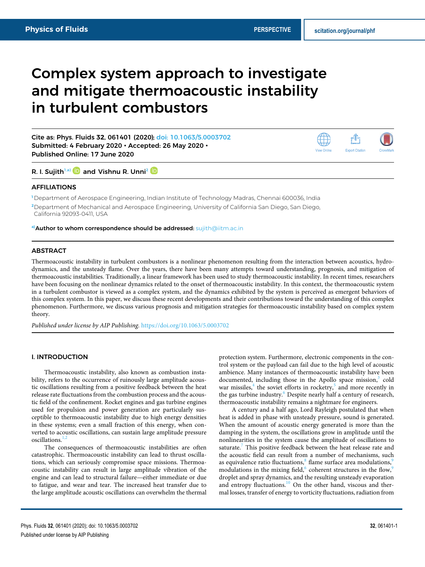rĥ **Export Citation** 

View Online

## Complex system approach to investigate and mitigate thermoacoustic instability in turbulent combustors

Cite as: Phys. Fluids **32**, 061401 (2020); doi: 10.1063/5.0003702 Submitted: 4 February 2020 • Accepted: 26 May 2020 • Published Online: 17 June 2020

R. I. Sujith<sup>1,a)</sup> and Vishnu R. Unni<sup>2</sup> <sup>in</sup>

#### AFFILIATIONS

**<sup>1</sup>** Department of Aerospace Engineering, Indian Institute of Technology Madras, Chennai 600036, India **<sup>2</sup>**Department of Mechanical and Aerospace Engineering, University of California San Diego, San Diego, California 92093-0411, USA

**a)**Author to whom correspondence should be addressed: sujith@iitm.ac.in

#### ABSTRACT

Thermoacoustic instability in turbulent combustors is a nonlinear phenomenon resulting from the interaction between acoustics, hydrodynamics, and the unsteady flame. Over the years, there have been many attempts toward understanding, prognosis, and mitigation of thermoacoustic instabilities. Traditionally, a linear framework has been used to study thermoacoustic instability. In recent times, researchers have been focusing on the nonlinear dynamics related to the onset of thermoacoustic instability. In this context, the thermoacoustic system in a turbulent combustor is viewed as a complex system, and the dynamics exhibited by the system is perceived as emergent behaviors of this complex system. In this paper, we discuss these recent developments and their contributions toward the understanding of this complex phenomenon. Furthermore, we discuss various prognosis and mitigation strategies for thermoacoustic instability based on complex system theory.

*Published under license by AIP Publishing.* https://doi.org/10.1063/5.0003702.,

#### I. INTRODUCTION

Thermoacoustic instability, also known as combustion instability, refers to the occurrence of ruinously large amplitude acoustic oscillations resulting from a positive feedback between the heat release rate fluctuations from the combustion process and the acoustic field of the confinement. Rocket engines and gas turbine engines used for propulsion and power generation are particularly susceptible to thermoacoustic instability due to high energy densities in these systems; even a small fraction of this energy, when converted to acoustic oscillations, can sustain large amplitude pressure  $\alpha$ scillations.<sup>1,2</sup>

The consequences of thermoacoustic instabilities are often catastrophic. Thermoacoustic instability can lead to thrust oscillations, which can seriously compromise space missions. Thermoacoustic instability can result in large amplitude vibration of the engine and can lead to structural failure—either immediate or due to fatigue, and wear and tear. The increased heat transfer due to the large amplitude acoustic oscillations can overwhelm the thermal

protection system. Furthermore, electronic components in the control system or the payload can fail due to the high level of acoustic ambience. Many instances of thermoacoustic instability have been documented, including those in the Apollo space mission,<sup>3</sup> cold war missiles,<sup>4</sup> the soviet efforts in rocketry,<sup>5</sup> and more recently in the gas turbine industry. $6$  Despite nearly half a century of research, thermoacoustic instability remains a nightmare for engineers.

A century and a half ago, Lord Rayleigh postulated that when heat is added in phase with unsteady pressure, sound is generated. When the amount of acoustic energy generated is more than the damping in the system, the oscillations grow in amplitude until the nonlinearities in the system cause the amplitude of oscillations to saturate.<sup>7</sup> This positive feedback between the heat release rate and the acoustic field can result from a number of mechanisms, such as equivalence ratio fluctuations, $^8$  flame surface area modulations, $^9$ modulations in the mixing field, <sup>6</sup> coherent structures in the flow, <sup>9</sup> droplet and spray dynamics, and the resulting unsteady evaporation and entropy fluctuations. $10$  On the other hand, viscous and thermal losses, transfer of energy to vorticity fluctuations, radiation from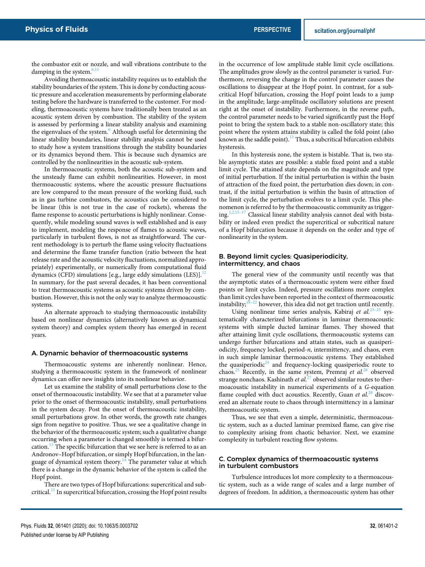the combustor exit or nozzle, and wall vibrations contribute to the damping in the system. $6$ ,

Avoiding thermoacoustic instability requires us to establish the stability boundaries of the system. This is done by conducting acoustic pressure and acceleration measurements by performing elaborate testing before the hardware is transferred to the customer. For modeling, thermoacoustic systems have traditionally been treated as an acoustic system driven by combustion. The stability of the system is assessed by performing a linear stability analysis and examining the eigenvalues of the system.<sup>6</sup> Although useful for determining the linear stability boundaries, linear stability analysis cannot be used to study how a system transitions through the stability boundaries or its dynamics beyond them. This is because such dynamics are controlled by the nonlinearities in the acoustic sub-system.

In thermoacoustic systems, both the acoustic sub-system and the unsteady flame can exhibit nonlinearities. However, in most thermoacoustic systems, where the acoustic pressure fluctuations are low compared to the mean pressure of the working fluid, such as in gas turbine combustors, the acoustics can be considered to be linear (this is not true in the case of rockets), whereas the flame response to acoustic perturbations is highly nonlinear. Consequently, while modeling sound waves is well established and is easy to implement, modeling the response of flames to acoustic waves, particularly in turbulent flows, is not as straightforward. The current methodology is to perturb the flame using velocity fluctuations and determine the flame transfer function (ratio between the heat release rate and the acoustic velocity fluctuations, normalized appropriately) experimentally, or numerically from computational fluid dynamics (CFD) simulations [e.g., large eddy simulations  $(LES)$ ].<sup>12</sup> In summary, for the past several decades, it has been conventional to treat thermoacoustic systems as acoustic systems driven by combustion. However, this is not the only way to analyze thermoacoustic systems.

An alternate approach to studying thermoacoustic instability based on nonlinear dynamics (alternatively known as dynamical system theory) and complex system theory has emerged in recent years.

#### A. Dynamic behavior of thermoacoustic systems

Thermoacoustic systems are inherently nonlinear. Hence, studying a thermoacoustic system in the framework of nonlinear dynamics can offer new insights into its nonlinear behavior.

Let us examine the stability of small perturbations close to the onset of thermoacoustic instability. We see that at a parameter value prior to the onset of thermoacoustic instability, small perturbations in the system decay. Post the onset of thermoacoustic instability, small perturbations grow. In other words, the growth rate changes sign from negative to positive. Thus, we see a qualitative change in the behavior of the thermoacoustic system; such a qualitative change occurring when a parameter is changed smoothly is termed a bifurcation.<sup>13</sup> The specific bifurcation that we see here is referred to as an Andronov–Hopf bifurcation, or simply Hopf bifurcation, in the language of dynamical system theory.<sup>14</sup> The parameter value at which there is a change in the dynamic behavior of the system is called the Hopf point.

There are two types of Hopf bifurcations: supercritical and subcritical.<sup>13</sup> In supercritical bifurcation, crossing the Hopf point results in the occurrence of low amplitude stable limit cycle oscillations. The amplitudes grow slowly as the control parameter is varied. Furthermore, reversing the change in the control parameter causes the oscillations to disappear at the Hopf point. In contrast, for a subcritical Hopf bifurcation, crossing the Hopf point leads to a jump in the amplitude; large-amplitude oscillatory solutions are present right at the onset of instability. Furthermore, in the reverse path, the control parameter needs to be varied significantly past the Hopf point to bring the system back to a stable non-oscillatory state; this point where the system attains stability is called the fold point (also known as the saddle point). $^{13}$  Thus, a subcritical bifurcation exhibits hysteresis.

In this hysteresis zone, the system is bistable. That is, two stable asymptotic states are possible: a stable fixed point and a stable limit cycle. The attained state depends on the magnitude and type of initial perturbation. If the initial perturbation is within the basin of attraction of the fixed point, the perturbation dies down; in contrast, if the initial perturbation is within the basin of attraction of the limit cycle, the perturbation evolves to a limit cycle. This phenomenon is referred to by the thermoacoustic community as triggering. $1,2,15-17$  Classical linear stability analysis cannot deal with bistability or indeed even predict the supercritical or subcritical nature of a Hopf bifurcation because it depends on the order and type of nonlinearity in the system.

#### B. Beyond limit cycles: Quasiperiodicity, intermittency, and chaos

The general view of the community until recently was that the asymptotic states of a thermoacoustic system were either fixed points or limit cycles. Indeed, pressure oscillations more complex than limit cycles have been reported in the context of thermoacoustic instability; $18-22$  however, this idea did not get traction until recently.

Using nonlinear time series analysis, Kabiraj et al.<sup>23-25</sup> systematically characterized bifurcations in laminar thermoacoustic systems with simple ducted laminar flames. They showed that after attaining limit cycle oscillations, thermoacoustic systems can undergo further bifurcations and attain states, such as quasiperiodicity, frequency locked, period-*n*, intermittency, and chaos, even in such simple laminar thermoacoustic systems. They established the quasiperiodic<sup>24</sup> and frequency-locking quasiperiodic route to chaos.<sup>25</sup> Recently, in the same system, Premraj *et al.*<sup>26</sup> observed strange nonchaos. Kashinath *et al.*<sup>27</sup> observed similar routes to thermoacoustic instability in numerical experiments of a *G*-equation flame coupled with duct acoustics. Recently, Guan *et al.*<sup>28</sup> discovered an alternate route to chaos through intermittency in a laminar thermoacoustic system.

Thus, we see that even a simple, deterministic, thermoacoustic system, such as a ducted laminar premixed flame, can give rise to complexity arising from chaotic behavior. Next, we examine complexity in turbulent reacting flow systems.

#### C. Complex dynamics of thermoacoustic systems in turbulent combustors

Turbulence introduces lot more complexity to a thermoacoustic system, such as a wide range of scales and a large number of degrees of freedom. In addition, a thermoacoustic system has other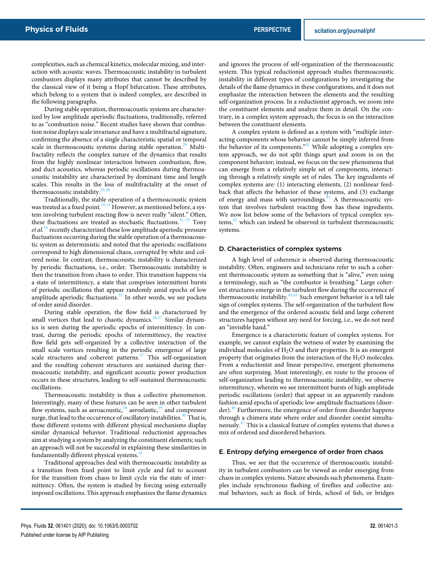complexities, such as chemical kinetics, molecular mixing, and interaction with acoustic waves. Thermoacoustic instability in turbulent combustors displays many attributes that cannot be described by the classical view of it being a Hopf bifurcation. These attributes, which belong to a system that is indeed complex, are described in the following paragraphs.

During stable operation, thermoacoustic systems are characterized by low amplitude aperiodic fluctuations, traditionally, referred to as "combustion noise." Recent studies have shown that combustion noise displays scale invariance and have a multifractal signature, confirming the absence of a single characteristic spatial or temporal scale in thermoacoustic systems during stable operation.<sup>29</sup> Multifractality reflects the complex nature of the dynamics that results from the highly nonlinear interaction between combustion, flow, and duct acoustics, whereas periodic oscillations during thermoacoustic instability are characterized by dominant time and length scales. This results in the loss of multifractality at the onset of thermoacoustic instability.

Traditionally, the stable operation of a thermoacoustic system was treated as a fixed point.<sup>10,14</sup> However, as mentioned before, a system involving turbulent reacting flow is never really "silent." Often, these fluctuations are treated as stochastic fluctuations.<sup>31-33</sup> Tony *et al.*<sup>34</sup> recently characterized these low amplitude aperiodic pressure fluctuations occurring during the stable operation of a thermoacoustic system as deterministic and noted that the aperiodic oscillations correspond to high dimensional chaos, corrupted by white and colored noise. In contrast, thermoacoustic instability is characterized by periodic fluctuations, i.e., order. Thermoacoustic instability is then the transition from chaos to order. This transition happens via a state of intermittency, a state that comprises intermittent bursts of periodic oscillations that appear randomly amid epochs of low amplitude aperiodic fluctuations. $35$  In other words, we see pockets of order amid disorder.

During stable operation, the flow field is characterized by small vortices that lead to chaotic dynamics.<sup>36,37</sup> Similar dynamics is seen during the aperiodic epochs of intermittency. In contrast, during the periodic epochs of intermittency, the reactive flow field gets self-organized by a collective interaction of the small scale vortices resulting in the periodic emergence of large scale structures and coherent patterns.<sup>37</sup> This self-organization and the resulting coherent structures are sustained during thermoacoustic instability, and significant acoustic power production occurs in these structures, leading to self-sustained thermoacoustic oscillations.

Thermoacoustic instability is thus a collective phenomenon. Interestingly, many of these features can be seen in other turbulent flow systems, such as aeroacoustic,  $38$  aeroelastic,  $39$  and compressor surge, that lead to the occurrence of oscillatory instabilities.<sup>40</sup> That is, these different systems with different physical mechanisms display similar dynamical behavior. Traditional reductionist approaches aim at studying a system by analyzing the constituent elements; such an approach will not be successful in explaining these similarities in fundamentally different physical systems.<sup>4</sup>

Traditional approaches deal with thermoacoustic instability as a transition from fixed point to limit cycle and fail to account for the transition from chaos to limit cycle via the state of intermittency. Often, the system is studied by forcing using externally imposed oscillations. This approach emphasizes the flame dynamics

and ignores the process of self-organization of the thermoacoustic system. This typical reductionist approach studies thermoacoustic instability in different types of configurations by investigating the details of the flame dynamics in these configurations, and it does not emphasize the interaction between the elements and the resulting self-organization process. In a reductionist approach, we zoom into the constituent elements and analyze them in detail. On the contrary, in a complex system approach, the focus is on the interaction between the constituent elements.

A complex system is defined as a system with "multiple interacting components whose behavior cannot be simply inferred from the behavior of its components.<sup> $n+2$ </sup> While adopting a complex system approach, we do not split things apart and zoom in on the component behavior; instead, we focus on the new phenomena that can emerge from a relatively simple set of components, interacting through a relatively simple set of rules. The key ingredients of complex systems are: (1) interacting elements, (2) nonlinear feedback that affects the behavior of these systems, and (3) exchange of energy and mass with surroundings.<sup>43</sup> A thermoacoustic system that involves turbulent reacting flow has these ingredients. We now list below some of the behaviors of typical complex systems,<sup>43</sup> which can indeed be observed in turbulent thermoacoustic systems.

#### D. Characteristics of complex systems

A high level of coherence is observed during thermoacoustic instability. Often, engineers and technicians refer to such a coherent thermoacoustic system as something that is "alive," even using a terminology, such as "the combustor is breathing." Large coherent structures emerge in the turbulent flow during the occurrence of thermoacoustic instability.<sup>44,45</sup> Such emergent behavior is a tell tale Such emergent behavior is a tell tale sign of complex systems. The self-organization of the turbulent flow and the emergence of the ordered acoustic field and large coherent structures happen without any need for forcing, i.e., we do not need an "invisible hand."

Emergence is a characteristic feature of complex systems. For example, we cannot explain the wetness of water by examining the individual molecules of  $H_2O$  and their properties. It is an emergent property that originates from the interaction of the H<sub>2</sub>O molecules. From a reductionist and linear perspective, emergent phenomena are often surprising. Most interestingly, en route to the process of self-organization leading to thermoacoustic instability, we observe intermittency, wherein we see intermittent bursts of high amplitude periodic oscillations (order) that appear in an apparently random fashion amid epochs of aperiodic low-amplitude fluctuations (disorder).<sup>46</sup> Furthermore, the emergence of order from disorder happens through a chimera state where order and disorder coexist simultaneously.<sup>47</sup> This is a classical feature of complex systems that shows a mix of ordered and disordered behaviors.

#### E. Entropy defying emergence of order from chaos

Thus, we see that the occurrence of thermoacoustic instability in turbulent combustors can be viewed as order emerging from chaos in complex systems. Nature abounds such phenomena. Examples include synchronous flashing of fireflies and collective animal behaviors, such as flock of birds, school of fish, or bridges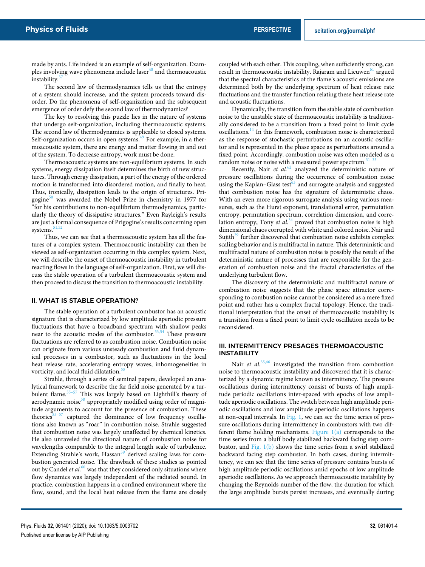made by ants. Life indeed is an example of self-organization. Examples involving wave phenomena include laser $48$  and thermoacoustic instability.

The second law of thermodynamics tells us that the entropy of a system should increase, and the system proceeds toward disorder. Do the phenomena of self-organization and the subsequent emergence of order defy the second law of thermodynamics?

The key to resolving this puzzle lies in the nature of systems that undergo self-organization, including thermoacoustic systems. The second law of thermodynamics is applicable to closed systems. Self-organization occurs in open systems.<sup>49</sup> For example, in a thermoacoustic system, there are energy and matter flowing in and out of the system. To decrease entropy, work must be done.

Thermoacoustic systems are non-equilibrium systems. In such systems, energy dissipation itself determines the birth of new structures. Through energy dissipation, a part of the energy of the ordered motion is transformed into disordered motion, and finally to heat. Thus, ironically, dissipation leads to the origin of structures. Prigogine<sup>50</sup> was awarded the Nobel Prize in chemistry in 1977 for "for his contributions to non-equilibrium thermodynamics, particularly the theory of dissipative structures." Even Rayleigh's results are just a formal consequence of Prigogine's results concerning open systems.<sup>51,</sup>

Thus, we can see that a thermoacoustic system has all the features of a complex system. Thermoacoustic instability can then be viewed as self-organization occurring in this complex system. Next, we will describe the onset of thermoacoustic instability in turbulent reacting flows in the language of self-organization. First, we will discuss the stable operation of a turbulent thermoacoustic system and then proceed to discuss the transition to thermoacoustic instability.

#### II. WHAT IS STABLE OPERATION?

The stable operation of a turbulent combustor has an acoustic signature that is characterized by low amplitude aperiodic pressure fluctuations that have a broadband spectrum with shallow peaks near to the acoustic modes of the combustor. $53,54$  These pressure fluctuations are referred to as combustion noise. Combustion noise can originate from various unsteady combustion and fluid dynamical processes in a combustor, such as fluctuations in the local heat release rate, accelerating entropy waves, inhomogeneities in vorticity, and local fluid dilatation.<sup>53</sup>

Strahle, through a series of seminal papers, developed an analytical framework to describe the far field noise generated by a turbulent flame.55–57 This was largely based on Lighthill's theory of aerodynamic noise<sup>58</sup> appropriately modified using order of magnitude arguments to account for the presence of combustion. These theories $55-57$  captured the dominance of low frequency oscillations also known as "roar" in combustion noise. Strahle suggested that combustion noise was largely unaffected by chemical kinetics. He also unraveled the directional nature of combustion noise for wavelengths comparable to the integral length scale of turbulence. Extending Strahle's work, Hassan<sup>59</sup> derived scaling laws for combustion generated noise. The drawback of these studies as pointed out by Candel *et al.*<sup>60</sup> was that they considered only situations where flow dynamics was largely independent of the radiated sound. In practice, combustion happens in a confined environment where the flow, sound, and the local heat release from the flame are closely

coupled with each other. This coupling, when sufficiently strong, can result in thermoacoustic instability. Rajaram and Lieuwen<sup>61</sup> argued that the spectral characteristics of the flame's acoustic emissions are determined both by the underlying spectrum of heat release rate fluctuations and the transfer function relating these heat release rate and acoustic fluctuations.

Dynamically, the transition from the stable state of combustion noise to the unstable state of thermoacoustic instability is traditionally considered to be a transition from a fixed point to limit cycle oscillations.<sup>14</sup> In this framework, combustion noise is characterized as the response of stochastic perturbations on an acoustic oscillator and is represented in the phase space as perturbations around a fixed point. Accordingly, combustion noise was often modeled as a random noise or noise with a measured power spectrum. $31-33$ 

Recently, Nair *et al.*<sup>62</sup> analyzed the deterministic nature of pressure oscillations during the occurrence of combustion noise using the Kaplan–Glass test<sup>63</sup> and surrogate analysis and suggested that combustion noise has the signature of deterministic chaos. With an even more rigorous surrogate analysis using various measures, such as the Hurst exponent, translational error, permutation entropy, permutation spectrum, correlation dimension, and correlation entropy, Tony *et al.*<sup>34</sup> proved that combustion noise is high dimensional chaos corrupted with white and colored noise. Nair and Sujith<sup>29</sup> further discovered that combustion noise exhibits complex scaling behavior and is multifractal in nature. This deterministic and multifractal nature of combustion noise is possibly the result of the deterministic nature of processes that are responsible for the generation of combustion noise and the fractal characteristics of the underlying turbulent flow.

The discovery of the deterministic and multifractal nature of combustion noise suggests that the phase space attractor corresponding to combustion noise cannot be considered as a mere fixed point and rather has a complex fractal topology. Hence, the traditional interpretation that the onset of thermoacoustic instability is a transition from a fixed point to limit cycle oscillation needs to be reconsidered.

#### III. INTERMITTENCY PRESAGES THERMOACOUSTIC **INSTABILITY**

Nair *et al.*<sup>35,46</sup> investigated the transition from combustion noise to thermoacoustic instability and discovered that it is characterized by a dynamic regime known as intermittency. The pressure oscillations during intermittency consist of bursts of high amplitude periodic oscillations inter-spaced with epochs of low amplitude aperiodic oscillations. The switch between high amplitude periodic oscillations and low amplitude aperiodic oscillations happens at non-equal intervals. In Fig. 1, we can see the time series of pressure oscillations during intermittency in combustors with two different flame holding mechanisms. Figure 1(a) corresponds to the time series from a bluff body stabilized backward facing step combustor, and Fig.  $1(b)$  shows the time series from a swirl stabilized backward facing step combustor. In both cases, during intermittency, we can see that the time series of pressure contains bursts of high amplitude periodic oscillations amid epochs of low amplitude aperiodic oscillations. As we approach thermoacoustic instability by changing the Reynolds number of the flow, the duration for which the large amplitude bursts persist increases, and eventually during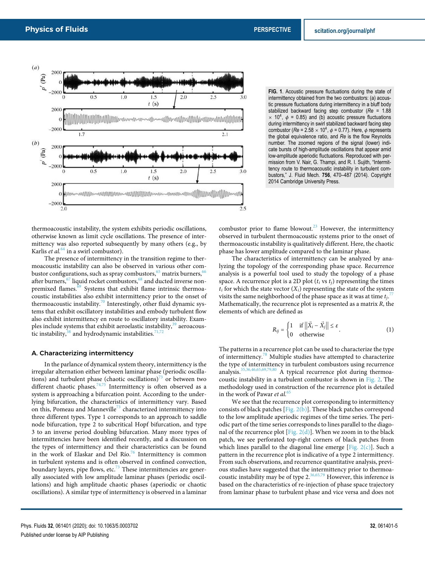

thermoacoustic instability, the system exhibits periodic oscillations, otherwise known as limit cycle oscillations. The presence of intermittency was also reported subsequently by many others (e.g., by Karlis *et al.*<sup>64</sup> in a swirl combustor).

The presence of intermittency in the transition regime to thermoacoustic instability can also be observed in various other combustor configurations, such as spray combustors,  $65$  matrix burners,  $66$ after burners,  $\frac{67}{1}$  liquid rocket combustors,  $\frac{68}{1}$  and ducted inverse nonpremixed flames.<sup>69</sup> Systems that exhibit flame intrinsic thermoacoustic instabilities also exhibit intermittency prior to the onset of thermoacoustic instability.<sup>70</sup> Interestingly, other fluid dynamic systems that exhibit oscillatory instabilities and embody turbulent flow also exhibit intermittency en route to oscillatory instability. Examples include systems that exhibit aeroelastic instability, $39$  aeroacoustic instability, $38$  and hydrodynamic instabilities.<sup>71,7</sup>

#### A. Characterizing intermittency

In the parlance of dynamical system theory, intermittency is the irregular alternation either between laminar phase (periodic oscillations) and turbulent phase (chaotic oscillations)<sup> $\beta$ </sup> or between two different chaotic phases.<sup>74,75</sup> Intermittency is often observed as a system is approaching a bifurcation point. According to the underlying bifurcation, the characteristics of intermittency vary. Based on this, Pomeau and Manneville<sup>73</sup> characterized intermittency into three different types. Type 1 corresponds to an approach to saddle node bifurcation, type 2 to subcritical Hopf bifurcation, and type 3 to an inverse period doubling bifurcation. Many more types of intermittencies have been identified recently, and a discussion on the types of intermittency and their characteristics can be found in the work of Elaskar and Del Río. $76$  Intermittency is common in turbulent systems and is often observed in confined convection, boundary layers, pipe flows, etc.<sup>73</sup> These intermittencies are generally associated with low amplitude laminar phases (periodic oscillations) and high amplitude chaotic phases (aperiodic or chaotic oscillations). A similar type of intermittency is observed in a laminar

**FIG. 1**. Acoustic pressure fluctuations during the state of intermittency obtained from the two combustors: (a) acoustic pressure fluctuations during intermittency in a bluff body stabilized backward facing step combustor (*Re* = 1.88  $\times$  10<sup>4</sup>,  $\phi$  = 0.85) and (b) acoustic pressure fluctuations during intermittency in swirl stabilized backward facing step combustor ( $Re = 2.58 \times 10^4$ ,  $\phi = 0.77$ ). Here,  $\phi$  represents the global equivalence ratio, and *Re* is the flow Reynolds number. The zoomed regions of the signal (lower) indicate bursts of high-amplitude oscillations that appear amid low-amplitude aperiodic fluctuations. Reproduced with permission from V. Nair, G. Thampi, and R. I. Sujith, "Intermittency route to thermoacoustic instability in turbulent combustors," J. Fluid Mech. **756**, 470–487 (2014). Copyright 2014 Cambridge University Press.

combustor prior to flame blowout.<sup>23</sup> However, the intermittency observed in turbulent thermoacoustic systems prior to the onset of thermoacoustic instability is qualitatively different. Here, the chaotic phase has lower amplitude compared to the laminar phase.

The characteristics of intermittency can be analyzed by analyzing the topology of the corresponding phase space. Recurrence analysis is a powerful tool used to study the topology of a phase space. A recurrence plot is a 2D plot  $(t_i \text{ vs } t_i)$  representing the times  $t_i$  for which the state vector  $(X_i)$  representing the state of the system visits the same neighborhood of the phase space as it was at time  $t_j$ .<sup>77</sup> Mathematically, the recurrence plot is represented as a matrix *R*, the elements of which are defined as

$$
R_{ij} = \begin{cases} 1 & \text{if } ||\vec{X}_i - \vec{X}_j|| \le \varepsilon \\ 0 & \text{otherwise} \end{cases}
$$
 (1)

The patterns in a recurrence plot can be used to characterize the type of intermittency.<sup>78</sup> Multiple studies have attempted to characterize the type of intermittency in turbulent combustors using recurrence analysis.<sup>35,36,46,65,69,79,80</sup> A typical recurrence plot during thermoacoustic instability in a turbulent combustor is shown in Fig. 2. The methodology used in construction of the recurrence plot is detailed in the work of Pawar et al.<sup>61</sup>

We see that the recurrence plot corresponding to intermittency consists of black patches [Fig. 2(b)]. These black patches correspond to the low amplitude aperiodic regimes of the time series. The periodic part of the time series corresponds to lines parallel to the diagonal of the recurrence plot [Fig. 2(d)]. When we zoom in to the black patch, we see perforated top-right corners of black patches from which lines parallel to the diagonal line emerge [Fig.  $2(c)$ ]. Such a pattern in the recurrence plot is indicative of a type 2 intermittency. From such observations, and recurrence quantitative analysis, previous studies have suggested that the intermittency prior to thermoacoustic instability may be of type  $2^{36,65,79}$  However, this inference is based on the characteristics of re-injection of phase space trajectory from laminar phase to turbulent phase and vice versa and does not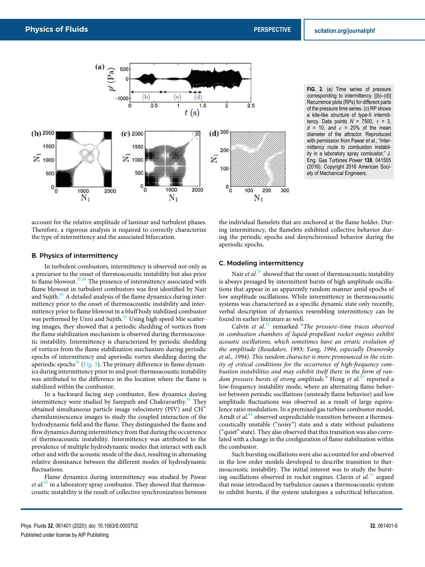

**FIG. 2**. (a) Time series of pressure corresponding to intermittency. [(b)–(d)] Recurrence plots (RPs) for different parts of the pressure time series. (c) RP shows a kite-like structure of type-II intermittency. Data points *N* = 7500, *τ* = 3,  $d = 10$ , and  $\epsilon = 20\%$  of the mean diameter of the attractor. Reproduced with permission from Pawar *et al.*, "Intermittency route to combustion instability in a laboratory spray combustor," J. Eng. Gas Turbines Power **138**, 041505 (2016). Copyright 2016 American Society of Mechanical Engineers.

account for the relative amplitude of laminar and turbulent phases. Therefore, a rigorous analysis is required to correctly characterize the type of intermittency and the associated bifurcation.

#### B. Physics of intermittency

In turbulent combustors, intermittency is observed not only as a precursor to the onset of thermoacoustic instability but also prior to flame blowout. $30,46$  The presence of intermittency associated with flame blowout in turbulent combustors was first identified by Nair and Sujith. $^{46}$  A detailed analysis of the flame dynamics during intermittency prior to the onset of thermoacoustic instability and intermittency prior to flame blowout in a bluff body stabilized combustor was performed by Unni and Sujith.<sup>36</sup> Using high speed Mie scattering images, they showed that a periodic shedding of vortices from the flame stabilization mechanism is observed during thermoacoustic instability. Intermittency is characterized by periodic shedding of vortices from the flame stabilization mechanism during periodic epochs of intermittency and aperiodic vortex shedding during the aperiodic epochs<sup>36</sup> (Fig. 3). The primary difference in flame dynamics during intermittency prior to and post-thermoacoustic instability was attributed to the difference in the location where the flame is stabilized within the combustor.

In a backward facing step combustor, flow dynamics during intermittency were studied by Sampath and Chakravarthy.<sup>81</sup> They obtained simultaneous particle image velocimetry (PIV) and CH<sup>∗</sup> chemiluminescence images to study the coupled interaction of the hydrodynamic field and the flame. They distinguished the flame and flow dynamics during intermittency from that during the occurrence of thermoacoustic instability. Intermittency was attributed to the prevalence of multiple hydrodynamic modes that interact with each other and with the acoustic mode of the duct, resulting in alternating relative dominance between the different modes of hydrodynamic fluctuations.

Flame dynamics during intermittency was studied by Pawar et al.<sup>82</sup> in a laboratory spray combustor. They showed that thermoacoustic instability is the result of collective synchronization between

the individual flamelets that are anchored at the flame holder. During intermittency, the flamelets exhibited collective behavior during the periodic epochs and desynchronized behavior during the aperiodic epochs.

### C. Modeling intermittency

Nair *et al.*<sup>35</sup> showed that the onset of thermoacoustic instability is always presaged by intermittent bursts of high amplitude oscillations that appear in an apparently random manner amid epochs of low amplitude oscillations. While intermittency in thermoacoustic systems was characterized as a specific dynamic state only recently, verbal description of dynamics resembling intermittency can be found in earlier literature as well.

Calvin *et al.*<sup>31</sup> remarked "*The pressure–time traces observed in combustion chambers of liquid-propellant rocket engines exhibit acoustic oscillations, which sometimes have an erratic evolution of the amplitude (Roudakov, 1993; Yang, 1994, especially Dranovsky et al., 1994). This random character is more pronounced in the vicinity of critical conditions for the occurrence of high-frequency combustion instabilities and may exhibit itself there in the form of random pressure bursts of strong amplitude*." Hong *et al.*<sup>83</sup> reported a low-frequency instability mode, where an alternating flame behavior between periodic oscillations (unsteady flame behavior) and low amplitude fluctuations was observed as a result of large equivalence ratio modulation. In a premixed gas turbine combustor model, Arndt *et al.*<sup>84</sup> observed unpredictable transition between a thermoacoustically unstable ("noisy") state and a state without pulsations ("quiet" state). They also observed that this transition was also correlated with a change in the configuration of flame stabilization within the combustor.

Such bursting oscillations were also accounted for and observed in the low order models developed to describe transition to thermoacoustic instability. The initial interest was to study the bursting oscillations observed in rocket engines. Clavin *et al.*<sup>31</sup> argued that noise introduced by turbulence causes a thermoacoustic system to exhibit bursts, if the system undergoes a subcritical bifurcation.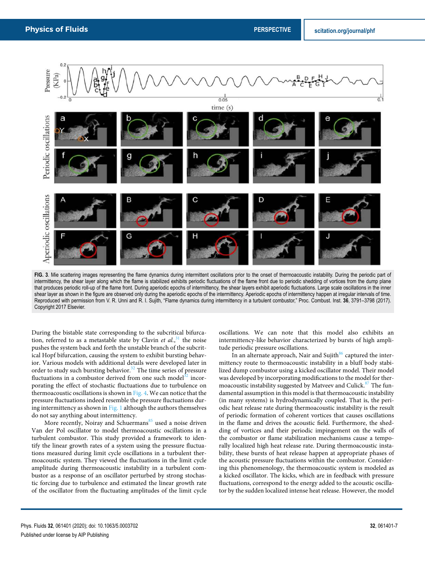

FIG. 3. Mie scattering images representing the flame dynamics during intermittent oscillations prior to the onset of thermoacoustic instability. During the periodic part of intermittency, the shear layer along which the flame is stabilized exhibits periodic fluctuations of the flame front due to periodic shedding of vortices from the dump plane that produces periodic roll-up of the flame front. During aperiodic epochs of intermittency, the shear layers exhibit aperiodic fluctuations. Large scale oscillations in the inner shear layer as shown in the figure are observed only during the aperiodic epochs of the intermittency. Aperiodic epochs of intermittency happen at irregular intervals of time. Reproduced with permission from V. R. Unni and R. I. Sujith, "Flame dynamics during intermittency in a turbulent combustor," Proc. Combust. Inst. **36**, 3791–3798 (2017). Copyright 2017 Elsevier.

During the bistable state corresponding to the subcritical bifurcation, referred to as a metastable state by Clavin *et al.*, <sup>31</sup> the noise pushes the system back and forth the unstable branch of the subcritical Hopf bifurcation, causing the system to exhibit bursting behavior. Various models with additional details were developed later in order to study such bursting behavior.<sup>32</sup> The time series of pressure fluctuations in a combustor derived from one such model $32$  incorporating the effect of stochastic fluctuations due to turbulence on thermoacoustic oscillations is shown in Fig. 4. We can notice that the pressure fluctuations indeed resemble the pressure fluctuations during intermittency as shown in  $Fig. 1$  although the authors themselves do not say anything about intermittency.

More recently, Noiray and Schuermans $85$  used a noise driven Van der Pol oscillator to model thermoacoustic oscillations in a turbulent combustor. This study provided a framework to identify the linear growth rates of a system using the pressure fluctuations measured during limit cycle oscillations in a turbulent thermoacoustic system. They viewed the fluctuations in the limit cycle amplitude during thermoacoustic instability in a turbulent combustor as a response of an oscillator perturbed by strong stochastic forcing due to turbulence and estimated the linear growth rate of the oscillator from the fluctuating amplitudes of the limit cycle oscillations. We can note that this model also exhibits an intermittency-like behavior characterized by bursts of high amplitude periodic pressure oscillations.

In an alternate approach, Nair and Sujith $86$  captured the intermittency route to thermoacoustic instability in a bluff body stabilized dump combustor using a kicked oscillator model. Their model was developed by incorporating modifications to the model for thermoacoustic instability suggested by Matveev and Culick.<sup>87</sup> The fundamental assumption in this model is that thermoacoustic instability (in many systems) is hydrodynamically coupled. That is, the periodic heat release rate during thermoacoustic instability is the result of periodic formation of coherent vortices that causes oscillations in the flame and drives the acoustic field. Furthermore, the shedding of vortices and their periodic impingement on the walls of the combustor or flame stabilization mechanisms cause a temporally localized high heat release rate. During thermoacoustic instability, these bursts of heat release happen at appropriate phases of the acoustic pressure fluctuations within the combustor. Considering this phenomenology, the thermoacoustic system is modeled as a kicked oscillator. The kicks, which are in feedback with pressure fluctuations, correspond to the energy added to the acoustic oscillator by the sudden localized intense heat release. However, the model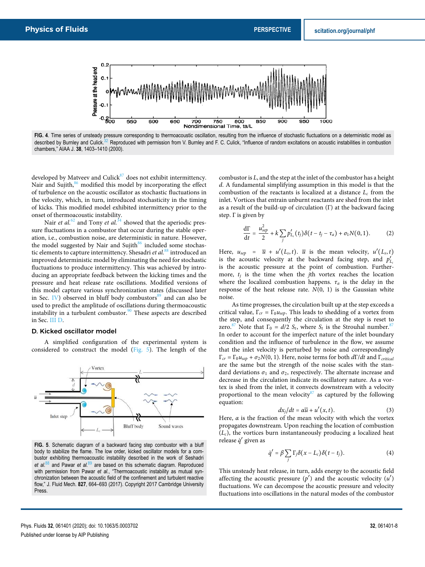

**FIG. 4**. Time series of unsteady pressure corresponding to thermoacoustic oscillation, resulting from the influence of stochastic fluctuations on a deterministic model as described by Burnley and Culick.<sup>32</sup> Reproduced with permission from V. Burnley and F. C. Culick, "Influence of random excitations on acoustic instabilities in combustion chambers," AIAA J. **38**, 1403–1410 (2000).

developed by Matveev and Culick $87$  does not exhibit intermittency. Nair and Sujith, $86$  modified this model by incorporating the effect of turbulence on the acoustic oscillator as stochastic fluctuations in the velocity, which, in turn, introduced stochasticity in the timing of kicks. This modified model exhibited intermittency prior to the onset of thermoacoustic instability.

Nair *et al.*<sup>62</sup> and Tony *et al.*<sup> $34$ </sup> showed that the aperiodic pressure fluctuations in a combustor that occur during the stable operation, i.e., combustion noise, are deterministic in nature. However, the model suggested by Nair and Sujith $86$  included some stochastic elements to capture intermittency. Shesadri *et al.*<sup>88</sup> introduced an improved deterministic model by eliminating the need for stochastic fluctuations to produce intermittency. This was achieved by introducing an appropriate feedback between the kicking times and the pressure and heat release rate oscillations. Modified versions of this model capture various synchronization states (discussed later in Sec. IV) observed in bluff body combustors $89$  and can also be used to predict the amplitude of oscillations during thermoacoustic instability in a turbulent combustor.<sup>90</sup> These aspects are described in Sec. III D.

#### D. Kicked oscillator model

A simplified configuration of the experimental system is considered to construct the model (Fig. 5). The length of the



**FIG. 5**. Schematic diagram of a backward facing step combustor with a bluff body to stabilize the flame. The low order, kicked oscillator models for a combustor exhibiting thermoacoustic instability described in the work of Seshadri *et al.*<sup>88</sup> and Pawar *et al.*<sup>89</sup> are based on this schematic diagram. Reproduced with permission from Pawar et al., "Thermoacoustic instability as mutual synchronization between the acoustic field of the confinement and turbulent reactive flow," J. Fluid Mech. **827**, 664–693 (2017). Copyright 2017 Cambridge University **Press** 

combustor is *L*, and the step at the inlet of the combustor has a height *d*. A fundamental simplifying assumption in this model is that the combustion of the reactants is localized at a distance  $L_c$  from the inlet. Vortices that entrain unburnt reactants are shed from the inlet as a result of the build-up of circulation (Γ) at the backward facing step. Γ is given by

$$
\frac{d\Gamma}{dt} = \frac{u_{sep}^2}{2} + k \sum_j p'_{L_c}(t_j) \delta(t - t_j - \tau_a) + \sigma_1 N(0, 1).
$$
 (2)

Here,  $u_{sep} = \overline{u} + u'(L_s, t)$ .  $\overline{u}$  is the mean velocity,  $u'(L_s, t)$ is the acoustic velocity at the backward facing step, and  $p'_{L_c}$ is the acoustic pressure at the point of combustion. Furthermore, *t<sup>j</sup>* is the time when the *j*th vortex reaches the location where the localized combustion happens.  $\tau_a$  is the delay in the response of the heat release rate. *N*(0, 1) is the Gaussian white noise.

As time progresses, the circulation built up at the step exceeds a critical value,  $\Gamma_{cr} = \Gamma_0 u_{sep}$ . This leads to shedding of a vortex from the step, and consequently the circulation at the step is reset to zero.<sup>87</sup> Note that  $\Gamma_0 = d/2$   $S_t$ , where  $S_t$  is the Strouhal number.<sup>87</sup> In order to account for the imperfect nature of the inlet boundary condition and the influence of turbulence in the flow, we assume that the inlet velocity is perturbed by noise and correspondingly Γ*cr* = Γ0*usep* + *σ*2*N*(0, 1). Here, noise terms for both *d*Γ/*dt* and Γ*critical* are the same but the strength of the noise scales with the standard deviations  $\sigma_1$  and  $\sigma_2$ , respectively. The alternate increase and decrease in the circulation indicate its oscillatory nature. As a vortex is shed from the inlet, it convects downstream with a velocity proportional to the mean velocity as captured by the following equation:

$$
dx_j/dt = \alpha \overline{u} + u'(x, t). \tag{3}
$$

Here, *α* is the fraction of the mean velocity with which the vortex propagates downstream. Upon reaching the location of combustion  $(L_c)$ , the vortices burn instantaneously producing a localized heat release *q*˙ ′ given as

$$
\dot{q}' = \beta \sum_{j} \Gamma_{j} \delta(x - L_{c}) \delta(t - t_{j}). \tag{4}
$$

This unsteady heat release, in turn, adds energy to the acoustic field affecting the acoustic pressure  $(p')$  and the acoustic velocity  $(u')$ fluctuations. We can decompose the acoustic pressure and velocity fluctuations into oscillations in the natural modes of the combustor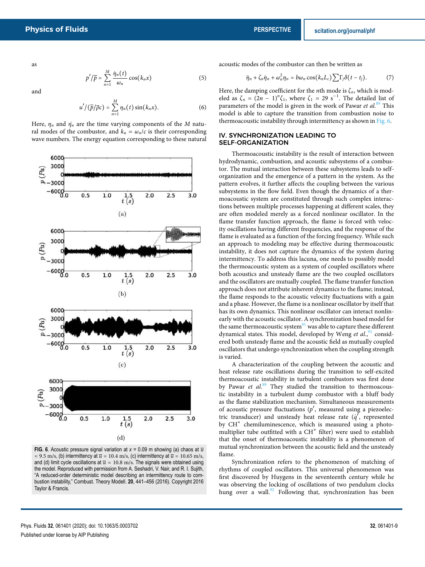as

$$
p'/\overline{p} = \sum_{n=1}^{M} \frac{\dot{\eta}_n(t)}{\omega_n} \cos(k_n x)
$$
 (5)

and

$$
u'/(\overline{p}/\overline{\rho}c)=\sum_{n=1}^M\eta_n(t)\sin(k_nx).
$$
 (6)

Here,  $\eta_n$  and  $\dot{\eta}_n$  are the time varying components of the *M* natural modes of the combustor, and  $k_n = \omega_n/c$  is their corresponding wave numbers. The energy equation corresponding to these natural



**FIG. 6**. Acoustic pressure signal variation at  $x = 0.09$  m showing (a) chaos at  $\overline{u}$ = 9.5 m/s, (b) intermittency at  $\overline{u}$  = 10.4 m/s, (c) intermittency at  $\overline{u}$  = 10.65 m/s, and (d) limit cycle oscillations at  $\bar{u} = 10.8$  m/s. The signals were obtained using the model. Reproduced with permission from A. Seshadri, V. Nair, and R. I. Sujith, "A reduced-order deterministic model describing an intermittency route to combustion instability," Combust. Theory Modell. **20**, 441–456 (2016). Copyright 2016 Taylor & Francis.

acoustic modes of the combustor can then be written as

$$
\ddot{\eta}_n + \zeta_n \dot{\eta}_n + \omega_n^2 \eta_n = b \omega_n \cos(k_n L_c) \sum \Gamma_j \delta(t - t_j). \tag{7}
$$

Here, the damping coefficient for the *n*th mode is  $\zeta_n$ , which is modeled as  $\zeta_n = (2n - 1)^n \zeta_1$ , where  $\zeta_1 = 29 \text{ s}^{-1}$ . The detailed list of parameters of the model is given in the work of Pawar *et al.*<sup>89</sup> This model is able to capture the transition from combustion noise to thermoacoustic instability through intermittency as shown in Fig. 6.

#### IV. SYNCHRONIZATION LEADING TO SELF-ORGANIZATION

Thermoacoustic instability is the result of interaction between hydrodynamic, combustion, and acoustic subsystems of a combustor. The mutual interaction between these subsystems leads to selforganization and the emergence of a pattern in the system. As the pattern evolves, it further affects the coupling between the various subsystems in the flow field. Even though the dynamics of a thermoacoustic system are constituted through such complex interactions between multiple processes happening at different scales, they are often modeled merely as a forced nonlinear oscillator. In the flame transfer function approach, the flame is forced with velocity oscillations having different frequencies, and the response of the flame is evaluated as a function of the forcing frequency. While such an approach to modeling may be effective during thermoacoustic instability, it does not capture the dynamics of the system during intermittency. To address this lacuna, one needs to possibly model the thermoacoustic system as a system of coupled oscillators where both acoustics and unsteady flame are the two coupled oscillators and the oscillators are mutually coupled. The flame transfer function approach does not attribute inherent dynamics to the flame; instead, the flame responds to the acoustic velocity fluctuations with a gain and a phase. However, the flame is a nonlinear oscillator by itself that has its own dynamics. This nonlinear oscillator can interact nonlinearly with the acoustic oscillator. A synchronization based model for the same thermoacoustic system $91$  was able to capture these different dynamical states. This model, developed by Weng et al.,<sup>91</sup> considered both unsteady flame and the acoustic field as mutually coupled oscillators that undergo synchronization when the coupling strength is varied.

A characterization of the coupling between the acoustic and heat release rate oscillations during the transition to self-excited thermoacoustic instability in turbulent combustors was first done by Pawar *et al.*<sup>89</sup> They studied the transition to thermoacoustic instability in a turbulent dump combustor with a bluff body as the flame stabilization mechanism. Simultaneous measurements of acoustic pressure fluctuations (*p* ′ , measured using a piezoelectric transducer) and unsteady heat release rate (*q*<sup>'</sup>, represented by CH<sup>\*</sup> chemiluminescence, which is measured using a photomultiplier tube outfitted with a CH<sup>\*</sup> filter) were used to establish that the onset of thermoacoustic instability is a phenomenon of mutual synchronization between the acoustic field and the unsteady flame.

Synchronization refers to the phenomenon of matching of rhythms of coupled oscillators. This universal phenomenon was first discovered by Huygens in the seventeenth century while he was observing the locking of oscillations of two pendulum clocks hung over a wall.<sup>92</sup> Following that, synchronization has been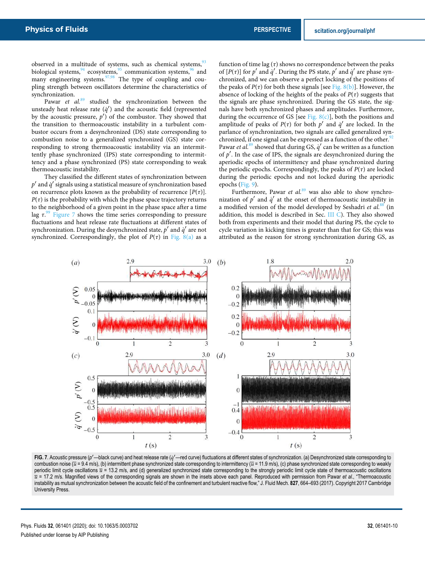observed in a multitude of systems, such as chemical systems,<sup>93</sup> biological systems, $94$  ecosystems, $95$  communication systems, $96$  and many engineering systems.<sup>97,98</sup> The type of coupling and coupling strength between oscillators determine the characteristics of synchronization.

Pawar *et al.*<sup>89</sup> studied the synchronization between the unsteady heat release rate  $(q')$  and the acoustic field (represented by the acoustic pressure,  $p'$  of the combustor. They showed that the transition to thermoacoustic instability in a turbulent combustor occurs from a desynchronized (DS) state corresponding to combustion noise to a generalized synchronized (GS) state corresponding to strong thermoacoustic instability via an intermittently phase synchronized (IPS) state corresponding to intermittency and a phase synchronized (PS) state corresponding to weak thermoacoustic instability.

They classified the different states of synchronization between *p* ′ and *q*˙ ′ signals using a statistical measure of synchronization based on recurrence plots known as the probability of recurrence  $[P(\tau)].$  $P(\tau)$  is the probability with which the phase space trajectory returns to the neighborhood of a given point in the phase space after a time lag *τ*. <sup>99</sup> Figure 7 shows the time series corresponding to pressure fluctuations and heat release rate fluctuations at different states of synchronization. During the desynchronized state,  $p'$  and  $\dot{q}'$  are not synchronized. Correspondingly, the plot of  $P(\tau)$  in Fig. 8(a) as a

function of time lag  $(\tau)$  shows no correspondence between the peaks of  $[P(\tau)]$  for  $p'$  and  $\dot{q}'$ . During the PS state,  $p'$  and  $\dot{q}'$  are phase synchronized, and we can observe a perfect locking of the positions of the peaks of  $P(\tau)$  for both these signals [see Fig. 8(b)]. However, the absence of locking of the heights of the peaks of *P*(*τ*) suggests that the signals are phase synchronized. During the GS state, the signals have both synchronized phases and amplitudes. Furthermore, during the occurrence of GS [see Fig.  $8(c)$ ], both the positions and amplitude of peaks of  $P(\tau)$  for both  $p'$  and  $\dot{q}'$  are locked. In the parlance of synchronization, two signals are called generalized synchronized, if one signal can be expressed as a function of the other.<sup>9</sup> Pawar *et al.*<sup>89</sup> showed that during GS,  $\dot{q}'$  can be written as a function of  $p'$ . In the case of IPS, the signals are desynchronized during the aperiodic epochs of intermittency and phase synchronized during the periodic epochs. Correspondingly, the peaks of  $P(\tau)$  are locked during the periodic epochs and not locked during the aperiodic epochs (Fig. 9).

Furthermore, Pawar et al.<sup>89</sup> was also able to show synchronization of  $p'$  and  $q'$  at the onset of thermoacoustic instability in a modified version of the model developed by Seshadri *et al.*<sup>88</sup> (in addition, this model is described in Sec. III C). They also showed both from experiments and their model that during PS, the cycle to cycle variation in kicking times is greater than that for GS; this was attributed as the reason for strong synchronization during GS, as



FIG. 7. Acoustic pressure (p'—black curve) and heat release rate (*q'* —red curve) fluctuations at different states of synchronization. (a) Desynchronized state corresponding to combustion noise ( $\overline{u}$  = 9.4 m/s), (b) intermittent phase synchronized state corresponding to intermittency ( $\overline{u}$  = 11.9 m/s), (c) phase synchronized state corresponding to weakly periodic limit cycle oscillations  $\overline{u}$  = 13.2 m/s, and (d) generalized synchronized state corresponding to the strongly periodic limit cycle state of thermoacoustic oscillations  $\overline{u}$  = 17.2 m/s. Magnified views of the corresponding signals are shown in the insets above each panel. Reproduced with permission from Pawar *et al.*, "Thermoacoustic instability as mutual synchronization between the acoustic field of the confinement and turbulent reactive flow," J. Fluid Mech. **827**, 664–693 (2017). Copyright 2017 Cambridge University Press.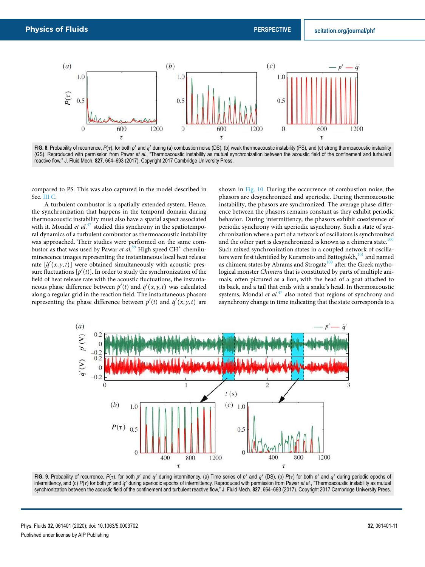

FIG. 8. Probability of recurrence,  $P(\tau)$ , for both  $p'$  and  $q'$  during (a) combustion noise (DS), (b) weak thermoacoustic instability (PS), and (c) strong thermoacoustic instability (GS). Reproduced with permission from Pawar *et al.*, "Thermoacoustic instability as mutual synchronization between the acoustic field of the confinement and turbulent reactive flow," J. Fluid Mech. **827**, 664–693 (2017). Copyright 2017 Cambridge University Press.

compared to PS. This was also captured in the model described in Sec. III C.

A turbulent combustor is a spatially extended system. Hence, the synchronization that happens in the temporal domain during thermoacoustic instability must also have a spatial aspect associated with it. Mondal *et al.*<sup>47</sup> studied this synchrony in the spatiotemporal dynamics of a turbulent combustor as thermoacoustic instability was approached. Their studies were performed on the same combustor as that was used by Pawar *et al.*<sup>89</sup> High speed CH<sup>∗</sup> chemiluminescence images representing the instantaneous local heat release rate  $[q'(x, y, t)]$  were obtained simultaneously with acoustic pressure fluctuations  $[p'(t)]$ . In order to study the synchronization of the field of heat release rate with the acoustic fluctuations, the instantaneous phase difference between  $p'(t)$  and  $q'(x, y, t)$  was calculated along a regular grid in the reaction field. The instantaneous phasors representing the phase difference between  $p'(t)$  and  $q'(x, y, t)$  are

shown in Fig. 10. During the occurrence of combustion noise, the phasors are desynchronized and aperiodic. During thermoacoustic instability, the phasors are synchronized. The average phase difference between the phasors remains constant as they exhibit periodic behavior. During intermittency, the phasors exhibit coexistence of periodic synchrony with aperiodic asynchrony. Such a state of synchronization where a part of a network of oscillators is synchronized and the other part is desynchronized is known as a chimera state.<sup>10</sup> Such mixed synchronization states in a coupled network of oscillators were first identified by Kuramoto and Battogtokh,<sup>101</sup> and named as chimera states by Abrams and Strogatz<sup>100</sup> after the Greek mythological monster *Chimera* that is constituted by parts of multiple animals, often pictured as a lion, with the head of a goat attached to its back, and a tail that ends with a snake's head. In thermoacoustic systems, Mondal *et al.*<sup>47</sup> also noted that regions of synchrony and asynchrony change in time indicating that the state corresponds to a



FIG. 9. Probability of recurrence,  $P(\tau)$ , for both p' and  $\dot{q}'$  during intermittency. (a) Time series of p' and  $\dot{q}'$  (DS), (b)  $P(\tau)$  for both p' and  $\dot{q}'$  during periodic epochs of intermittency, and (c) *P*(τ) for both *p'* and *q'* during aperiodic epochs of intermittency. Reproduced with permission from Pawar *et al.*, "Thermoacoustic instability as mutual synchronization between the acoustic field of the confinement and turbulent reactive flow," J. Fluid Mech. **827**, 664–693 (2017). Copyright 2017 Cambridge University Press.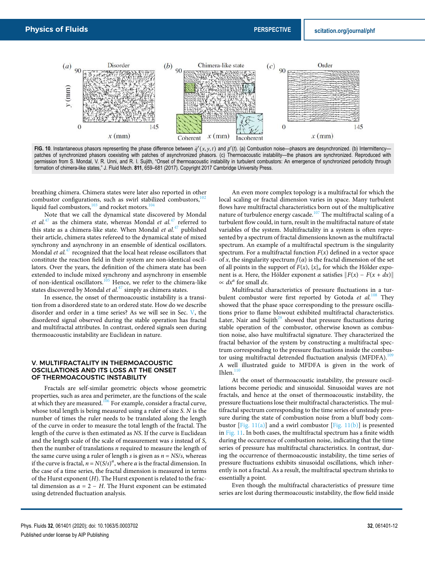

FIG. 10. Instantaneous phasors representing the phase difference between  $\dot{q}'(x, y, t)$  and  $p'(t)$ . (a) Combustion noise—phasors are desynchronized. (b) Intermittency patches of synchronized phasors coexisting with patches of asynchronized phasors. (c) Thermoacoustic instability—the phasors are synchronized. Reproduced with permission from S. Mondal, V. R. Unni, and R. I. Sujith, "Onset of thermoacoustic instability in turbulent combustors: An emergence of synchronized periodicity through formation of chimera-like states," J. Fluid Mech. **811**, 659–681 (2017). Copyright 2017 Cambridge University Press.

breathing chimera. Chimera states were later also reported in other combustor configurations, such as swirl stabilized combustors, $102$ liquid fuel combustors, $103$  and rocket motors. $104$ 

Note that we call the dynamical state discovered by Mondal *et al.*<sup>47</sup> as the chimera state, whereas Mondal *et al.*<sup>47</sup> referred to this state as a chimera-like state. When Mondal *et al.*<sup>47</sup> published their article, chimera states refereed to the dynamical state of mixed synchrony and asynchrony in an ensemble of identical oscillators. Mondal *et al.*<sup>47</sup> recognized that the local heat release oscillators that constitute the reaction field in their system are non-identical oscillators. Over the years, the definition of the chimera state has been extended to include mixed synchrony and asynchrony in ensemble of non-identical oscillators.<sup>105</sup> Hence, we refer to the chimera-like states discovered by Mondal *et al.*<sup>47</sup> simply as chimera states.

In essence, the onset of thermoacoustic instability is a transition from a disordered state to an ordered state. How do we describe disorder and order in a time series? As we will see in Sec. V, the disordered signal observed during the stable operation has fractal and multifractal attributes. In contrast, ordered signals seen during thermoacoustic instability are Euclidean in nature.

#### V. MULTIFRACTALITY IN THERMOACOUSTIC OSCILLATIONS AND ITS LOSS AT THE ONSET OF THERMOACOUSTIC INSTABILITY

Fractals are self-similar geometric objects whose geometric properties, such as area and perimeter, are the functions of the scale at which they are measured.<sup>106</sup> For example, consider a fractal curve, whose total length is being measured using a ruler of size *S*. *N* is the number of times the ruler needs to be translated along the length of the curve in order to measure the total length of the fractal. The length of the curve is then estimated as *NS*. If the curve is Euclidean and the length scale of the scale of measurement was *s* instead of *S*, then the number of translations *n* required to measure the length of the same curve using a ruler of length  $s$  is given as  $n = NS/s$ , whereas if the curve is fractal,  $n = N(S/s)^{\alpha}$ , where  $\alpha$  is the fractal dimension. In the case of a time series, the fractal dimension is measured in terms of the Hurst exponent (*H*). The Hurst exponent is related to the fractal dimension as  $\alpha = 2 - H$ . The Hurst exponent can be estimated using detrended fluctuation analysis.

An even more complex topology is a multifractal for which the local scaling or fractal dimension varies in space. Many turbulent flows have multifractal characteristics born out of the multiplicative nature of turbulence energy cascade.<sup>107</sup> The multifractal scaling of a turbulent flow could, in turn, result in the multifractal nature of state variables of the system. Multifractality in a system is often represented by a spectrum of fractal dimensions known as the multifractal spectrum. An example of a multifractal spectrum is the singularity spectrum. For a multifractal function *F*(*x*) defined in a vector space of *x*, the singularity spectrum  $f(\alpha)$  is the fractal dimension of the set of all points in the support of  $F(x)$ ,  $\{x\}_\alpha$  for which the Hölder exponent is *α*. Here, the Hölder exponent *α* satisfies ∥*F*(*x*) − *F*(*x* + *dx*)∥  $\propto dx^{\alpha}$  for small *dx*.

Multifractal characteristics of pressure fluctuations in a turbulent combustor were first reported by Gotoda et al.<sup>108</sup> They showed that the phase space corresponding to the pressure oscillations prior to flame blowout exhibited multifractal characteristics. Later, Nair and Sujith $^{29}$  showed that pressure fluctuations during stable operation of the combustor, otherwise known as combustion noise, also have multifractal signature. They characterized the fractal behavior of the system by constructing a multifractal spectrum corresponding to the pressure fluctuations inside the combustor using multifractal detrended fluctuation analysis (MFDFA).<sup>109</sup> A well illustrated guide to MFDFA is given in the work of  $I$ hlen.<sup>11</sup>

At the onset of thermoacoustic instability, the pressure oscillations become periodic and sinusoidal. Sinusoidal waves are not fractals, and hence at the onset of thermoacoustic instability, the pressure fluctuations lose their multifractal characteristics. The multifractal spectrum corresponding to the time series of unsteady pressure during the state of combustion noise from a bluff body combustor [Fig. 11(a)] and a swirl combustor [Fig. 11(b)] is presented in Fig. 11. In both cases, the multifractal spectrum has a finite width during the occurrence of combustion noise, indicating that the time series of pressure has multifractal characteristics. In contrast, during the occurrence of thermoacoustic instability, the time series of pressure fluctuations exhibits sinusoidal oscillations, which inherently is not a fractal. As a result, the multifractal spectrum shrinks to essentially a point.

Even though the multifractal characteristics of pressure time series are lost during thermoacoustic instability, the flow field inside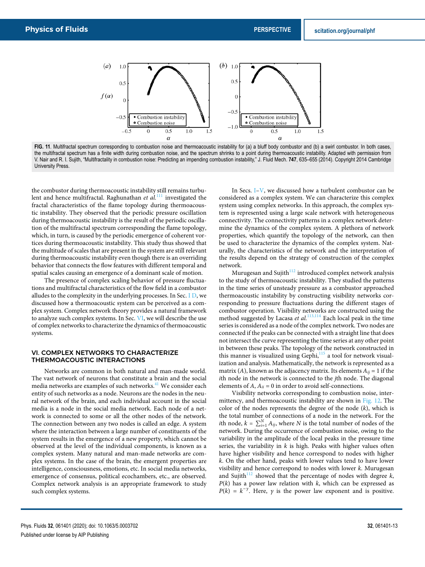

FIG. 11. Multifractal spectrum corresponding to combustion noise and thermoacoustic instability for (a) a bluff body combustor and (b) a swirl combustor. In both cases, the multifractal spectrum has a finite width during combustion noise, and the spectrum shrinks to a point during thermoacoustic instability. Adapted with permission from V. Nair and R. I. Sujith, "Multifractality in combustion noise: Predicting an impending combustion instability," J. Fluid Mech. **747**, 635–655 (2014). Copyright 2014 Cambridge University Press.

the combustor during thermoacoustic instability still remains turbulent and hence multifractal. Raghunathan *et al.*<sup>111</sup> investigated the fractal characteristics of the flame topology during thermoacoustic instability. They observed that the periodic pressure oscillation during thermoacoustic instability is the result of the periodic oscillation of the multifractal spectrum corresponding the flame topology, which, in turn, is caused by the periodic emergence of coherent vortices during thermoacoustic instability. This study thus showed that the multitude of scales that are present in the system are still relevant during thermoacoustic instability even though there is an overriding behavior that connects the flow features with different temporal and spatial scales causing an emergence of a dominant scale of motion.

The presence of complex scaling behavior of pressure fluctuations and multifractal characteristics of the flow field in a combustor alludes to the complexity in the underlying processes. In Sec. I D, we discussed how a thermoacoustic system can be perceived as a complex system. Complex network theory provides a natural framework to analyze such complex systems. In Sec. VI, we will describe the use of complex networks to characterize the dynamics of thermoacoustic systems.

#### VI. COMPLEX NETWORKS TO CHARACTERIZE THERMOACOUSTIC INTERACTIONS

Networks are common in both natural and man-made world. The vast network of neurons that constitute a brain and the social media networks are examples of such networks.<sup>41</sup> We consider each entity of such networks as a node. Neurons are the nodes in the neural network of the brain, and each individual account in the social media is a node in the social media network. Each node of a network is connected to some or all the other nodes of the network. The connection between any two nodes is called an edge. A system where the interaction between a large number of constituents of the system results in the emergence of a new property, which cannot be observed at the level of the individual components, is known as a complex system. Many natural and man-made networks are complex systems. In the case of the brain, the emergent properties are intelligence, consciousness, emotions, etc. In social media networks, emergence of consensus, political ecochambers, etc., are observed. Complex network analysis is an appropriate framework to study such complex systems.

In Secs. I–V, we discussed how a turbulent combustor can be considered as a complex system. We can characterize this complex system using complex networks. In this approach, the complex system is represented using a large scale network with heterogeneous connectivity. The connectivity patterns in a complex network determine the dynamics of the complex system. A plethora of network properties, which quantify the topology of the network, can then be used to characterize the dynamics of the complex system. Naturally, the characteristics of the network and the interpretation of the results depend on the strategy of construction of the complex network.

Murugesan and Sujith $112$  introduced complex network analysis to the study of thermoacoustic instability. They studied the patterns in the time series of unsteady pressure as a combustor approached thermoacoustic instability by constructing visibility networks corresponding to pressure fluctuations during the different stages of combustor operation. Visibility networks are constructed using the method suggested by Lacasa *et al.*<sup>113,114</sup> Each local peak in the time series is considered as a node of the complex network. Two nodes are connected if the peaks can be connected with a straight line that does not intersect the curve representing the time series at any other point in between these peaks. The topology of the network constructed in this manner is visualized using Gephi,<sup>115</sup> a tool for network visualization and analysis. Mathematically, the network is represented as a matrix (*A*), known as the adjacency matrix. Its elements  $A_{ij} = 1$  if the *i*th node in the network is connected to the *j*th node. The diagonal elements of  $A$ ,  $A_{ii} = 0$  in order to avoid self-connections.

Visibility networks corresponding to combustion noise, intermittency, and thermoacoustic instability are shown in Fig. 12. The color of the nodes represents the degree of the node (*k*), which is the total number of connections of a node in the network. For the *i*th node,  $k = \sum_{i=1}^{N} A_{ij}$ , where *N* is the total number of nodes of the network. During the occurrence of combustion noise, owing to the variability in the amplitude of the local peaks in the pressure time series, the variability in *k* is high. Peaks with higher values often have higher visibility and hence correspond to nodes with higher *k*. On the other hand, peaks with lower values tend to have lower visibility and hence correspond to nodes with lower *k*. Murugesan and Sujith<sup>112</sup> showed that the percentage of nodes with degree  $k$ ,  $P(k)$  has a power law relation with  $k$ , which can be expressed as  $P(k) = k^{-\gamma}$ . Here,  $\gamma$  is the power law exponent and is positive.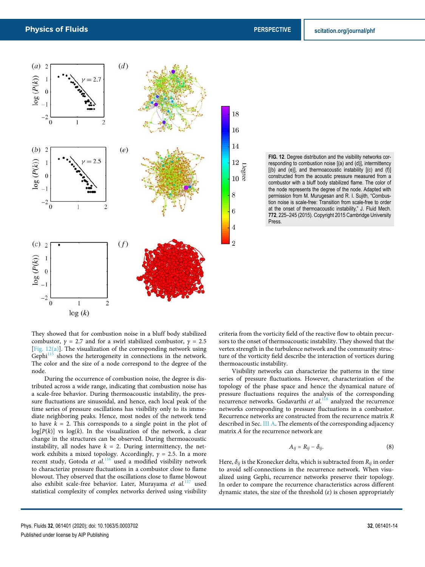18

16

14

12  $\begin{array}{c} 12 \\ 10 \\ 10 \\ 8 \end{array}$ 

8

 $\boldsymbol{6}$ 

 $\overline{4}$ 

 $\overline{2}$ 



**FIG. 12**. Degree distribution and the visibility networks corresponding to combustion noise [(a) and (d)], intermittency [(b) and (e)], and thermoacoustic instability [(c) and (f)] constructed from the acoustic pressure measured from a combustor with a bluff body stabilized flame. The color of the node represents the degree of the node. Adapted with permission from M. Murugesan and R. I. Sujith, "Combustion noise is scale-free: Transition from scale-free to order at the onset of thermoacoustic instability," J. Fluid Mech. **772**, 225–245 (2015). Copyright 2015 Cambridge University Press.

They showed that for combustion noise in a bluff body stabilized combustor,  $\gamma = 2.7$  and for a swirl stabilized combustor,  $\gamma = 2.5$ [Fig.  $12(a)$ ]. The visualization of the corresponding network using Gephi<sup>115</sup> shows the heterogeneity in connections in the network. The color and the size of a node correspond to the degree of the node.

During the occurrence of combustion noise, the degree is distributed across a wide range, indicating that combustion noise has a scale-free behavior. During thermoacoustic instability, the pressure fluctuations are sinusoidal, and hence, each local peak of the time series of pressure oscillations has visibility only to its immediate neighboring peaks. Hence, most nodes of the network tend to have  $k = 2$ . This corresponds to a single point in the plot of  $log[P(k)]$  vs  $log(k)$ . In the visualization of the network, a clear change in the structures can be observed. During thermoacoustic instability, all nodes have  $k = 2$ . During intermittency, the network exhibits a mixed topology. Accordingly,  $\gamma = 2.5$ . In a more recent study, Gotoda et al.<sup>116</sup> used a modified visibility network to characterize pressure fluctuations in a combustor close to flame blowout. They observed that the oscillations close to flame blowout also exhibit scale-free behavior. Later, Murayama *et al.*<sup>117</sup> used statistical complexity of complex networks derived using visibility criteria from the vorticity field of the reactive flow to obtain precursors to the onset of thermoacoustic instability. They showed that the vertex strength in the turbulence network and the community structure of the vorticity field describe the interaction of vortices during thermoacoustic instability.

Visibility networks can characterize the patterns in the time series of pressure fluctuations. However, characterization of the topology of the phase space and hence the dynamical nature of pressure fluctuations requires the analysis of the corresponding recurrence networks. Godavarthi et al.<sup>118</sup> analyzed the recurrence networks corresponding to pressure fluctuations in a combustor. Recurrence networks are constructed from the recurrence matrix *R* described in Sec. III A. The elements of the corresponding adjacency matrix *A* for the recurrence network are

$$
A_{ij} = R_{ij} - \delta_{ij}.\tag{8}
$$

Here,  $\delta_{ij}$  is the Kronecker delta, which is subtracted from  $R_{ij}$  in order to avoid self-connections in the recurrence network. When visualized using Gephi, recurrence networks preserve their topology. In order to compare the recurrence characteristics across different dynamic states, the size of the threshold (*ε*) is chosen appropriately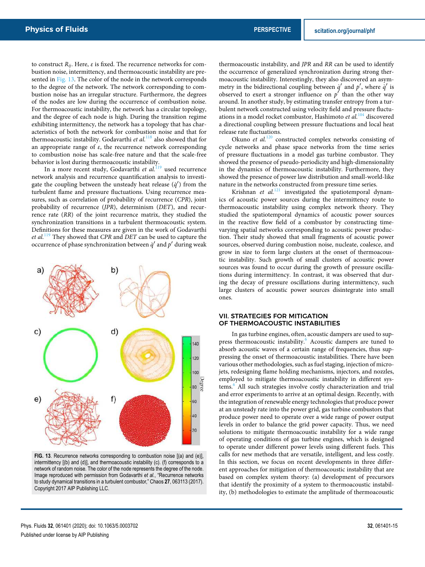to construct *Rij*. Here, *ε* is fixed. The recurrence networks for combustion noise, intermittency, and thermoacoustic instability are presented in Fig. 13. The color of the node in the network corresponds to the degree of the network. The network corresponding to combustion noise has an irregular structure. Furthermore, the degrees of the nodes are low during the occurrence of combustion noise. For thermoacoustic instability, the network has a circular topology, and the degree of each node is high. During the transition regime exhibiting intermittency, the network has a topology that has characteristics of both the network for combustion noise and that for thermoacoustic instability. Godavarthi *et al.*<sup>118</sup> also showed that for an appropriate range of *ε*, the recurrence network corresponding to combustion noise has scale-free nature and that the scale-free behavior is lost during thermoacoustic instability.

In a more recent study, Godavarthi *et al.*<sup>119</sup> used recurrence network analysis and recurrence quantification analysis to investigate the coupling between the unsteady heat release  $(\dot{q}')$  from the turbulent flame and pressure fluctuations. Using recurrence measures, such as correlation of probability of recurrence (*CPR*), joint probability of recurrence (*JPR*), determinism (*DET*), and recurrence rate (*RR*) of the joint recurrence matrix, they studied the synchronization transitions in a turbulent thermoacoustic system. Definitions for these measures are given in the work of Godavarthi *et al.*<sup>119</sup> They showed that *CPR* and *DET* can be used to capture the occurrence of phase synchronization between  $\dot{q}'$  and  $p'$  during weak



**FIG. 13**. Recurrence networks corresponding to combustion noise [(a) and (e)], intermittency [(b) and (d)], and thermoacoustic instability (c). (f) corresponds to a network of random noise. The color of the node represents the degree of the node. Image reproduced with permission from Godavarthi *et al.*, "Recurrence networks to study dynamical transitions in a turbulent combustor," Chaos **27**, 063113 (2017). Copyright 2017 AIP Publishing LLC.

thermoacoustic instability, and *JPR* and *RR* can be used to identify the occurrence of generalized synchronization during strong thermoacoustic instability. Interestingly, they also discovered an asymmetry in the bidirectional coupling between  $\dot{q}'$  and  $p'$ , where  $\dot{q}'$  is observed to exert a stronger influence on  $p'$  than the other way around. In another study, by estimating transfer entropy from a turbulent network constructed using velocity field and pressure fluctuations in a model rocket combustor, Hashimoto *et al.*<sup>104</sup> discovered a directional coupling between pressure fluctuations and local heat release rate fluctuations.

Okuno *et al.*<sup>120</sup> constructed complex networks consisting of cycle networks and phase space networks from the time series of pressure fluctuations in a model gas turbine combustor. They showed the presence of pseudo-periodicity and high-dimensionality in the dynamics of thermoacoustic instability. Furthermore, they showed the presence of power law distribution and small-world-like nature in the networks constructed from pressure time series.

Krishnan et al.<sup>121</sup> investigated the spatiotemporal dynamics of acoustic power sources during the intermittency route to thermoacoustic instability using complex network theory. They studied the spatiotemporal dynamics of acoustic power sources in the reactive flow field of a combustor by constructing timevarying spatial networks corresponding to acoustic power production. Their study showed that small fragments of acoustic power sources, observed during combustion noise, nucleate, coalesce, and grow in size to form large clusters at the onset of thermoacoustic instability. Such growth of small clusters of acoustic power sources was found to occur during the growth of pressure oscillations during intermittency. In contrast, it was observed that during the decay of pressure oscillations during intermittency, such large clusters of acoustic power sources disintegrate into small ones.

#### VII. STRATEGIES FOR MITIGATION OF THERMOACOUSTIC INSTABILITIES

In gas turbine engines, often, acoustic dampers are used to suppress thermoacoustic instability.<sup>6</sup> Acoustic dampers are tuned to absorb acoustic waves of a certain range of frequencies, thus suppressing the onset of thermoacoustic instabilities. There have been various other methodologies, such as fuel staging, injection of microjets, redesigning flame holding mechanisms, injectors, and nozzles, employed to mitigate thermoacoustic instability in different systems.<sup>6</sup> All such strategies involve costly characterization and trial and error experiments to arrive at an optimal design. Recently, with the integration of renewable energy technologies that produce power at an unsteady rate into the power grid, gas turbine combustors that produce power need to operate over a wide range of power output levels in order to balance the grid power capacity. Thus, we need solutions to mitigate thermoacoustic instability for a wide range of operating conditions of gas turbine engines, which is designed to operate under different power levels using different fuels. This calls for new methods that are versatile, intelligent, and less costly. In this section, we focus on recent developments in three different approaches for mitigation of thermoacoustic instability that are based on complex system theory: (a) development of precursors that identify the proximity of a system to thermoacoustic instability, (b) methodologies to estimate the amplitude of thermoacoustic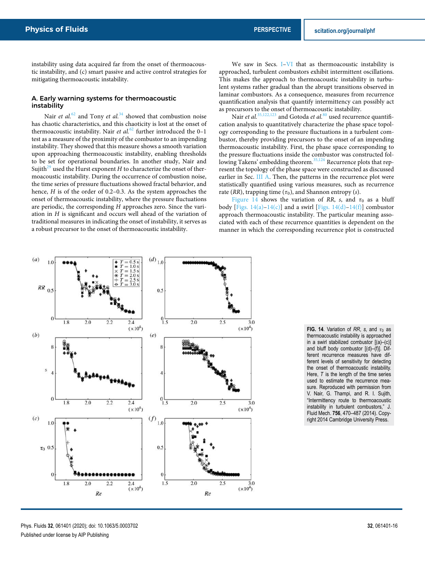instability using data acquired far from the onset of thermoacoustic instability, and (c) smart passive and active control strategies for mitigating thermoacoustic instability.

#### A. Early warning systems for thermoacoustic instability

Nair *et al.*<sup>62</sup> and Tony *et al.*<sup>34</sup> showed that combustion noise has chaotic characteristics, and this chaoticity is lost at the onset of thermoacoustic instability. Nair *et al.*<sup>62</sup> further introduced the 0-1 test as a measure of the proximity of the combustor to an impending instability. They showed that this measure shows a smooth variation upon approaching thermoacoustic instability, enabling thresholds to be set for operational boundaries. In another study, Nair and Sujith<sup>29</sup> used the Hurst exponent  $H$  to characterize the onset of thermoacoustic instability. During the occurrence of combustion noise, the time series of pressure fluctuations showed fractal behavior, and hence, *H* is of the order of 0.2–0.3. As the system approaches the onset of thermoacoustic instability, where the pressure fluctuations are periodic, the corresponding *H* approaches zero. Since the variation in *H* is significant and occurs well ahead of the variation of traditional measures in indicating the onset of instability, it serves as a robust precursor to the onset of thermoacoustic instability.

We saw in Secs. I–VI that as thermoacoustic instability is approached, turbulent combustors exhibit intermittent oscillations. This makes the approach to thermoacoustic instability in turbulent systems rather gradual than the abrupt transitions observed in laminar combustors. As a consequence, measures from recurrence quantification analysis that quantify intermittency can possibly act as precursors to the onset of thermoacoustic instability.

Nair *et al.*<sup>35,122,123</sup> and Gotoda *et al.*<sup>80</sup> used recurrence quantification analysis to quantitatively characterize the phase space topology corresponding to the pressure fluctuations in a turbulent combustor, thereby providing precursors to the onset of an impending thermoacoustic instability. First, the phase space corresponding to the pressure fluctuations inside the combustor was constructed following Takens' embedding theorem.<sup>35,124</sup> Recurrence plots that represent the topology of the phase space were constructed as discussed earlier in Sec. III A. Then, the patterns in the recurrence plot were statistically quantified using various measures, such as recurrence rate ( $RR$ ), trapping time ( $\tau_0$ ), and Shannon entropy ( $s$ ).

Figure 14 shows the variation of *RR*, *s*, and  $\tau_0$  as a bluff body [Figs.  $14(a)-14(c)$ ] and a swirl [Figs.  $14(d)-14(f)$ ] combustor approach thermoacoustic instability. The particular meaning associated with each of these recurrence quantities is dependent on the manner in which the corresponding recurrence plot is constructed



**FIG. 14.** Variation of *RR*, *s*, and  $\tau_0$  as thermoacoustic instability is approached in a swirl stabilized combustor  $[(a)-(c)]$ and bluff body combustor [(d)–(f)]. Different recurrence measures have different levels of sensitivity for detecting the onset of thermoacoustic instability. Here, *T* is the length of the time series used to estimate the recurrence measure. Reproduced with permission from V. Nair, G. Thampi, and R. I. Sujith, "Intermittency route to thermoacoustic instability in turbulent combustors," J. Fluid Mech. **756**, 470–487 (2014). Copyright 2014 Cambridge University Press.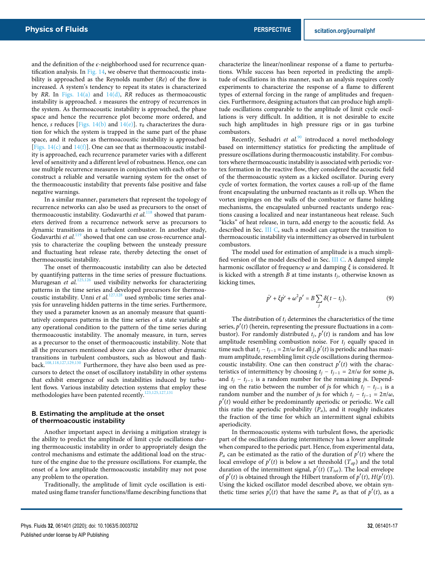and the definition of the *ϵ*-neighborhood used for recurrence quantification analysis. In Fig.  $14$ , we observe that thermoacoustic instability is approached as the Reynolds number (*Re*) of the flow is increased. A system's tendency to repeat its states is characterized by *RR*. In Figs. 14(a) and 14(d), *RR* reduces as thermoacoustic instability is approached. *s* measures the entropy of recurrences in the system. As thermoacoustic instability is approached, the phase space and hence the recurrence plot become more ordered, and hence, *s* reduces [Figs. 14(b) and 14(e)].  $\tau_0$  characterizes the duration for which the system is trapped in the same part of the phase space, and it reduces as thermoacoustic instability is approached [Figs. 14(c) and 14(f)]. One can see that as thermoacoustic instability is approached, each recurrence parameter varies with a different level of sensitivity and a different level of robustness. Hence, one can use multiple recurrence measures in conjunction with each other to construct a reliable and versatile warning system for the onset of the thermoacoustic instability that prevents false positive and false negative warnings.

In a similar manner, parameters that represent the topology of recurrence networks can also be used as precursors to the onset of thermoacoustic instability. Godavarthi et al.<sup>118</sup> showed that parameters derived from a recurrence network serve as precursors to dynamic transitions in a turbulent combustor. In another study, Godavarthi *et al.*<sup>119</sup> showed that one can use cross-recurrence analysis to characterize the coupling between the unsteady pressure and fluctuating heat release rate, thereby detecting the onset of thermoacoustic instability.

The onset of thermoacoustic instability can also be detected by quantifying patterns in the time series of pressure fluctuations. Murugesan et al.<sup>125,126</sup> used visibility networks for characterizing patterns in the time series and developed precursors for thermoacoustic instability. Unni et al.<sup>127,128</sup> used symbolic time series analysis for unraveling hidden patterns in the time series. Furthermore, they used a parameter known as an anomaly measure that quantitatively compares patterns in the time series of a state variable at any operational condition to the pattern of the time series during thermoacoustic instability. The anomaly measure, in turn, serves as a precursor to the onset of thermoacoustic instability. Note that all the precursors mentioned above can also detect other dynamic transitions in turbulent combustors, such as blowout and flash-back.<sup>108,118,127,129,130</sup> Furthermore, they have also been used as pre-Furthermore, they have also been used as precursors to detect the onset of oscillatory instability in other systems that exhibit emergence of such instabilities induced by turbulent flows. Various instability detection systems that employ these methodologies have been patented recently.<sup>123,125,127,13</sup>

#### B. Estimating the amplitude at the onset of thermoacoustic instability

Another important aspect in devising a mitigation strategy is the ability to predict the amplitude of limit cycle oscillations during thermoacoustic instability in order to appropriately design the control mechanisms and estimate the additional load on the structure of the engine due to the pressure oscillations. For example, the onset of a low amplitude thermoacoustic instability may not pose any problem to the operation.

Traditionally, the amplitude of limit cycle oscillation is estimated using flame transfer functions/flame describing functions that characterize the linear/nonlinear response of a flame to perturbations. While success has been reported in predicting the amplitude of oscillations in this manner, such an analysis requires costly experiments to characterize the response of a flame to different types of external forcing in the range of amplitudes and frequencies. Furthermore, designing actuators that can produce high amplitude oscillations comparable to the amplitude of limit cycle oscillations is very difficult. In addition, it is not desirable to excite such high amplitudes in high pressure rigs or in gas turbine combustors.

Recently, Seshadri et al.<sup>90</sup> introduced a novel methodology based on intermittency statistics for predicting the amplitude of pressure oscillations during thermoacoustic instability. For combustors where thermoacoustic instability is associated with periodic vortex formation in the reactive flow, they considered the acoustic field of the thermoacoustic system as a kicked oscillator. During every cycle of vortex formation, the vortex causes a roll-up of the flame front encapsulating the unburned reactants as it rolls up. When the vortex impinges on the walls of the combustor or flame holding mechanisms, the encapsulated unburned reactants undergo reactions causing a localized and near instantaneous heat release. Such "kicks" of heat release, in turn, add energy to the acoustic field. As described in Sec. III C, such a model can capture the transition to thermoacoustic instability via intermittency as observed in turbulent combustors.

The model used for estimation of amplitude is a much simplified version of the model described in Sec. III C. A damped simple harmonic oscillator of frequency *ω* and damping *ξ* is considered. It is kicked with a strength *B* at time instants *tj*, otherwise known as kicking times,

$$
\ddot{p}' + \xi \dot{p}' + \omega^2 p' = B \sum_j \delta(t - t_j). \tag{9}
$$

The distribution of  $t_j$  determines the characteristics of the time series,  $p'(t)$  (herein, representing the pressure fluctuations in a combustor). For randomly distributed  $t_j$ ,  $p'(t)$  is random and has low amplitude resembling combustion noise. For *t<sup>j</sup>* equally spaced in time such that  $t_j - t_{j-1} = 2\pi/\omega$  for all *j*,  $p'(t)$  is periodic and has maximum amplitude, resembling limit cycle oscillations during thermoacoustic instability. One can then construct  $p'(t)$  with the characteristics of intermittency by choosing  $t_j - t_{j-1} = 2\pi/\omega$  for some *js*, and  $t_j - t_{j-1}$  is a random number for the remaining *js*. Depending on the ratio between the number of *js* for which  $t_i - t_{i-1}$  is a random number and the number of *js* for which  $t_j - t_{j-1} = 2\pi/\omega$ , *p* ′ (*t*) would either be predominantly aperiodic or periodic. We call this ratio the aperiodic probability (*Pa*), and it roughly indicates the fraction of the time for which an intermittent signal exhibits aperiodicity.

In thermoacoustic systems with turbulent flows, the aperiodic part of the oscillations during intermittency has a lower amplitude when compared to the periodic part. Hence, from experimental data,  $P_a$  can be estimated as the ratio of the duration of  $p'(t)$  where the local envelope of  $p'(t)$  is below a set threshold  $(T_{ap})$  and the total duration of the intermittent signal,  $p'(t)$  ( $T_{tot}$ ). The local envelope of  $p'(t)$  is obtained through the Hilbert transform of  $p'(t)$ ,  $H(p'(t))$ . Using the kicked oscillator model described above, we obtain synthetic time series  $p'_{s}(t)$  that have the same  $P_{a}$  as that of  $p'(t)$ , as a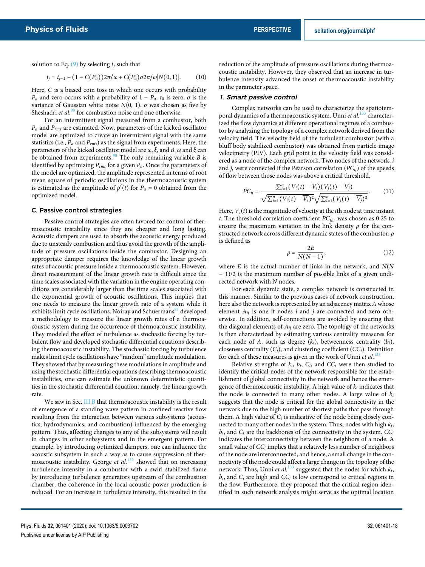solution to Eq.  $(9)$  by selecting  $t_i$  such that

$$
t_j = t_{j-1} + (1 - C(P_a))2\pi/\omega + C(P_a)\sigma 2\pi/\omega|N(0,1)|.
$$
 (10)

Here, *C* is a biased coin toss in which one occurs with probability *P<sub>a</sub>* and zero occurs with a probability of  $1 - P_a$ ,  $t_0$  is zero.  $\sigma$  is the variance of Gaussian white noise  $N(0, 1)$ .  $\sigma$  was chosen as five by Sheshadri *et al.*<sup>90</sup> for combustion noise and one otherwise.

For an intermittent signal measured from a combustor, both *P<sup>a</sup>* and *Prms* are estimated. Now, parameters of the kicked oscillator model are optimized to create an intermittent signal with the same statistics (i.e., *P<sup>a</sup>* and *Prms*) as the signal from experiments. Here, the parameters of the kicked oscillator model are *ω*, *ξ*, and *B*. *ω* and *ξ* can be obtained from experiments.<sup>90</sup> The only remaining variable *B* is identified by optimizing *Prms* for a given *Pa*. Once the parameters of the model are optimized, the amplitude represented in terms of root mean square of periodic oscillations in the thermoacoustic system is estimated as the amplitude of  $p'(t)$  for  $P_a = 0$  obtained from the optimized model.

#### C. Passive control strategies

Passive control strategies are often favored for control of thermoacoustic instability since they are cheaper and long lasting. Acoustic dampers are used to absorb the acoustic energy produced due to unsteady combustion and thus avoid the growth of the amplitude of pressure oscillations inside the combustor. Designing an appropriate damper requires the knowledge of the linear growth rates of acoustic pressure inside a thermoacoustic system. However, direct measurement of the linear growth rate is difficult since the time scales associated with the variation in the engine operating conditions are considerably larger than the time scales associated with the exponential growth of acoustic oscillations. This implies that one needs to measure the linear growth rate of a system while it exhibits limit cycle oscillations. Noiray and Schuermans<sup>85</sup> developed a methodology to measure the linear growth rates of a thermoacoustic system during the occurrence of thermoacoustic instability. They modeled the effect of turbulence as stochastic forcing by turbulent flow and developed stochastic differential equations describing thermoacoustic instability. The stochastic forcing by turbulence makes limit cycle oscillations have "random" amplitude modulation. They showed that by measuring these modulations in amplitude and using the stochastic differential equations describing thermoacoustic instabilities, one can estimate the unknown deterministic quantities in the stochastic differential equation, namely, the linear growth rate.

We saw in Sec. III B that thermoacoustic instability is the result of emergence of a standing wave pattern in confined reactive flow resulting from the interaction between various subsystems (acoustics, hydrodynamics, and combustion) influenced by the emerging pattern. Thus, affecting changes to any of the subsystems will result in changes in other subsystems and in the emergent pattern. For example, by introducing optimized dampers, one can influence the acoustic subsystem in such a way as to cause suppression of thermoacoustic instability. George *et al.*<sup>132</sup> showed that on increasing turbulence intensity in a combustor with a swirl stabilized flame by introducing turbulence generators upstream of the combustion chamber, the coherence in the local acoustic power production is reduced. For an increase in turbulence intensity, this resulted in the

reduction of the amplitude of pressure oscillations during thermoacoustic instability. However, they observed that an increase in turbulence intensity advanced the onset of thermoacoustic instability in the parameter space.

#### 1. Smart passive control

Complex networks can be used to characterize the spatiotemporal dynamics of a thermoacoustic system. Unni *et al.*<sup>133</sup> characterized the flow dynamics at different operational regimes of a combustor by analyzing the topology of a complex network derived from the velocity field. The velocity field of the turbulent combustor (with a bluff body stabilized combustor) was obtained from particle image velocimetry (PIV). Each grid point in the velocity field was considered as a node of the complex network. Two nodes of the network, *i* and *j*, were connected if the Pearson correlation (*PCij*) of the speeds of flow between those nodes was above a critical threshold,

$$
PC_{ij} = \frac{\sum_{t=1}^{n} (V_i(t) - \overline{V_i})(V_j(t) - \overline{V_j})}{\sqrt{\sum_{i=1}^{n} (V_i(t) - \overline{V_i})^2} \sqrt{\sum_{i=1}^{n} (V_j(t) - \overline{V_j})^2}}.
$$
(11)

Here,  $V_i(t)$  is the magnitude of velocity at the *i*th node at time instant *t*. The threshold correlation coefficient *PCthr* was chosen as 0.25 to ensure the maximum variation in the link density  $\rho$  for the constructed network across different dynamic states of the combustor. *ρ* is defined as

$$
\rho = \frac{2E}{N(N-1)},\tag{12}
$$

where *E* is the actual number of links in the network, and *N*(*N* − 1)/2 is the maximum number of possible links of a given undirected network with *N* nodes.

For each dynamic state, a complex network is constructed in this manner. Similar to the previous cases of network construction, here also the network is represented by an adjacency matrix *A* whose element *Aij* is one if nodes *i* and *j* are connected and zero otherwise. In addition, self-connections are avoided by ensuring that the diagonal elements of *Aij* are zero. The topology of the networks is then characterized by estimating various centrality measures for each node of *A*, such as degree  $(k_i)$ , betweenness centrality  $(b_i)$ , closeness centrality (*Ci*), and clustering coefficient (*CCi*). Definition for each of these measures is given in the work of Unni *et al.*<sup>133</sup>

Relative strengths of  $k_i$ ,  $b_i$ ,  $C_i$ , and  $CC_i$  were then studied to identify the critical nodes of the network responsible for the establishment of global connectivity in the network and hence the emergence of thermoacoustic instability. A high value of *k<sup>i</sup>* indicates that the node is connected to many other nodes. A large value of *b<sup>i</sup>* suggests that the node is critical for the global connectivity in the network due to the high number of shortest paths that pass through them. A high value of  $C_i$  is indicative of the node being closely connected to many other nodes in the system. Thus, nodes with high *ki*,  $b_i$ , and  $C_i$  are the backbones of the connectivity in the system.  $CC_i$ indicates the interconnectivity between the neighbors of a node. A small value of *CC<sup>i</sup>* implies that a relatively less number of neighbors of the node are interconnected, and hence, a small change in the connectivity of the node could affect a large change in the topology of the network. Thus, Unni *et al.*<sup>133</sup> suggested that the nodes for which  $k_i$ ,  $b_i$ , and  $C_i$  are high and  $CC_i$  is low correspond to critical regions in the flow. Furthermore, they proposed that the critical region identified in such network analysis might serve as the optimal location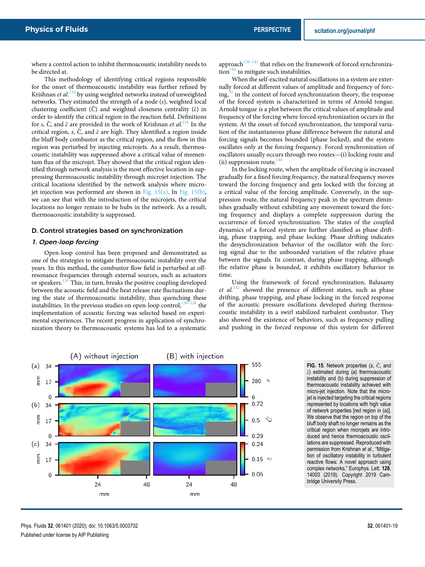where a control action to inhibit thermoacoustic instability needs to be directed at.

This methodology of identifying critical regions responsible for the onset of thermoacoustic instability was further refined by Krishnan *et al.*<sup>134</sup> by using weighted networks instead of unweighted networks. They estimated the strength of a node (*s*), weighted local clustering coefficient ( $\tilde{C}$ ) and weighted closeness centrality ( $\tilde{c}$ ) in order to identify the critical region in the reaction field. Definitions for *s*, *C*˜ , and ˜*c* are provided in the work of Krishnan *et al.*<sup>134</sup> In the critical region, *s*,  $\tilde{C}$ , and  $\tilde{c}$  are high. They identified a region inside the bluff body combustor as the critical region, and the flow in this region was perturbed by injecting microjets. As a result, thermoacoustic instability was suppressed above a critical value of momentum flux of the microjet. They showed that the critical region identified through network analysis is the most effective location in suppressing thermoacoustic instability through microjet injection. The critical locations identified by the network analysis where microjet injection was performed are shown in Fig. 15(a). In Fig. 15(b), we can see that with the introduction of the microjets, the critical locations no longer remain to be hubs in the network. As a result, thermoacoustic instability is suppressed.

#### D. Control strategies based on synchronization

#### 1. Open-loop forcing

Open-loop control has been proposed and demonstrated as one of the strategies to mitigate thermoacoustic instability over the years. In this method, the combustor flow field is perturbed at offresonance frequencies through external sources, such as actuators or speakers.<sup>135</sup> This, in turn, breaks the positive coupling developed between the acoustic field and the heat release rate fluctuations during the state of thermoacoustic instability, thus quenching these instabilities. In the previous studies on open-loop control, $136-138$  the implementation of acoustic forcing was selected based on experimental experiences. The recent progress in application of synchronization theory to thermoacoustic systems has led to a systematic

approach $139-143$  that relies on the framework of forced synchroniza- $\frac{144}{100}$  to mitigate such instabilities.

When the self-excited natural oscillations in a system are externally forced at different values of amplitude and frequency of forc $ing<sub>2</sub><sup>92</sup>$  in the context of forced synchronization theory, the response of the forced system is characterized in terms of Arnold tongue. Arnold tongue is a plot between the critical values of amplitude and frequency of the forcing where forced synchronization occurs in the system. At the onset of forced synchronization, the temporal variation of the instantaneous phase difference between the natural and forcing signals becomes bounded (phase locked), and the system oscillates only at the forcing frequency. Forced synchronization of oscillators usually occurs through two routes—(i) locking route and (ii) suppression route.<sup>144</sup>

In the locking route, when the amplitude of forcing is increased gradually for a fixed forcing frequency, the natural frequency moves toward the forcing frequency and gets locked with the forcing at a critical value of the forcing amplitude. Conversely, in the suppression route, the natural frequency peak in the spectrum diminishes gradually without exhibiting any movement toward the forcing frequency and displays a complete suppression during the occurrence of forced synchronization. The states of the coupled dynamics of a forced system are further classified as phase drifting, phase trapping, and phase locking. Phase drifting indicates the desynchronization behavior of the oscillator with the forcing signal due to the unbounded variation of the relative phase between the signals. In contrast, during phase trapping, although the relative phase is bounded, it exhibits oscillatory behavior in time.

Using the framework of forced synchronization, Balusamy *et al.*<sup>142</sup> showed the presence of different states, such as phase drifting, phase trapping, and phase locking in the forced response of the acoustic pressure oscillations developed during thermoacoustic instability in a swirl stabilized turbulent combustor. They also showed the existence of behaviors, such as frequency pulling and pushing in the forced response of this system for different



**FIG. 15.** Network properties (s,  $\tilde{C}$ , and ˜*c*) estimated during (a) thermoacoustic instability and (b) during suppression of thermoacoustic instability achieved with micro-jet injection. Note that the microjet is injected targeting the critical regions represented by locations with high value of network properties [red region in (a)]. We observe that the region on top of the bluff body shaft no longer remains as the critical region when microjets are introduced and hence thermoacoustic oscillations are suppressed. Reproduced with permission from Krishnan *et al.*, "Mitigation of oscillatory instability in turbulent reactive flows: A novel approach using complex networks," Europhys. Lett. **128**, 14003 (2019). Copyright 2019 Cambridge University Press.

Phys. Fluids **32**, 061401 (2020); doi: 10.1063/5.0003702 **32**, 061401-19 Published under license by AIP Publishing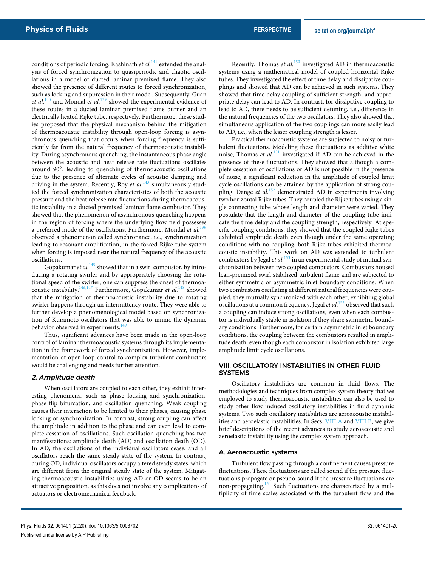conditions of periodic forcing. Kashinath *et al.*<sup>141</sup> extended the analysis of forced synchronization to quasiperiodic and chaotic oscillations in a model of ducted laminar premixed flame. They also showed the presence of different routes to forced synchronization, such as locking and suppression in their model. Subsequently, Guan *et al.*<sup>140</sup> and Mondal *et al.*<sup>139</sup> showed the experimental evidence of these routes in a ducted laminar premixed flame burner and an electrically heated Rijke tube, respectively. Furthermore, these studies proposed that the physical mechanism behind the mitigation of thermoacoustic instability through open-loop forcing is asynchronous quenching that occurs when forcing frequency is sufficiently far from the natural frequency of thermoacoustic instability. During asynchronous quenching, the instantaneous phase angle between the acoustic and heat release rate fluctuations oscillates around 90○ , leading to quenching of thermoacoustic oscillations due to the presence of alternate cycles of acoustic damping and driving in the system. Recently, Roy *et al.*<sup>143</sup> simultaneously studied the forced synchronization characteristics of both the acoustic pressure and the heat release rate fluctuations during thermoacoustic instability in a ducted premixed laminar flame combustor. They showed that the phenomenon of asynchronous quenching happens in the region of forcing where the underlying flow field possesses a preferred mode of the oscillations. Furthermore, Mondal *et al.*<sup>139</sup> observed a phenomenon called synchronance, i.e., synchronization leading to resonant amplification, in the forced Rijke tube system when forcing is imposed near the natural frequency of the acoustic oscillations.

Gopakumar *et al.*<sup>145</sup> showed that in a swirl combustor, by introducing a rotating swirler and by appropriately choosing the rotational speed of the swirler, one can suppress the onset of thermoacoustic instability.<sup>146,147</sup> Furthermore, Gopakumar *et al.*<sup>148</sup> showed that the mitigation of thermoacoustic instability due to rotating swirler happens through an intermittency route. They were able to further develop a phenomenological model based on synchronization of Kuramoto oscillators that was able to mimic the dynamic behavior observed in experiments.<sup>14</sup>

Thus, significant advances have been made in the open-loop control of laminar thermoacoustic systems through its implementation in the framework of forced synchronization. However, implementation of open-loop control to complex turbulent combustors would be challenging and needs further attention.

#### 2. Amplitude death

When oscillators are coupled to each other, they exhibit interesting phenomena, such as phase locking and synchronization, phase flip bifurcation, and oscillation quenching. Weak coupling causes their interaction to be limited to their phases, causing phase locking or synchronization. In contrast, strong coupling can affect the amplitude in addition to the phase and can even lead to complete cessation of oscillations. Such oscillation quenching has two manifestations: amplitude death (AD) and oscillation death (OD). In AD, the oscillations of the individual oscillators cease, and all oscillators reach the same steady state of the system. In contrast, during OD, individual oscillators occupy altered steady states, which are different from the original steady state of the system. Mitigating thermoacoustic instabilities using AD or OD seems to be an attractive proposition, as this does not involve any complications of actuators or electromechanical feedback.

Recently, Thomas et al.<sup>150</sup> investigated AD in thermoacoustic systems using a mathematical model of coupled horizontal Rijke tubes. They investigated the effect of time delay and dissipative couplings and showed that AD can be achieved in such systems. They showed that time delay coupling of sufficient strength, and appropriate delay can lead to AD. In contrast, for dissipative coupling to lead to AD, there needs to be sufficient detuning, i.e., difference in the natural frequencies of the two oscillators. They also showed that simultaneous application of the two couplings can more easily lead to AD, i.e., when the lesser coupling strength is lesser.

Practical thermoacoustic systems are subjected to noisy or turbulent fluctuations. Modeling these fluctuations as additive white noise, Thomas *et al.*<sup>151</sup> investigated if AD can be achieved in the presence of these fluctuations. They showed that although a complete cessation of oscillations or AD is not possible in the presence of noise, a significant reduction in the amplitude of coupled limit cycle oscillations can be attained by the application of strong coupling. Dange *et al.*<sup>152</sup> demonstrated AD in experiments involving two horizontal Rijke tubes. They coupled the Rijke tubes using a single connecting tube whose length and diameter were varied. They postulate that the length and diameter of the coupling tube indicate the time delay and the coupling strength, respectively. At specific coupling conditions, they showed that the coupled Rijke tubes exhibited amplitude death even though under the same operating conditions with no coupling, both Rijke tubes exhibited thermoacoustic instability. This work on AD was extended to turbulent combustors by Jegal *et al.*<sup>153</sup> in an experimental study of mutual synchronization between two coupled combustors. Combustors housed lean-premixed swirl stabilized turbulent flame and are subjected to either symmetric or asymmetric inlet boundary conditions. When two combustors oscillating at different natural frequencies were coupled, they mutually synchronized with each other, exhibiting global oscillations at a common frequency. Jegal *et al.*<sup>153</sup> observed that such a coupling can induce strong oscillations, even when each combustor is individually stable in isolation if they share symmetric boundary conditions. Furthermore, for certain asymmetric inlet boundary conditions, the coupling between the combustors resulted in amplitude death, even though each combustor in isolation exhibited large amplitude limit cycle oscillations.

#### VIII. OSCILLATORY INSTABILITIES IN OTHER FLUID SYSTEMS

Oscillatory instabilities are common in fluid flows. The methodologies and techniques from complex system theory that we employed to study thermoacoustic instabilities can also be used to study other flow induced oscillatory instabilities in fluid dynamic systems. Two such oscillatory instabilities are aeroacoustic instabilities and aeroelastic instabilities. In Secs. VIII A and VIII B, we give brief descriptions of the recent advances to study aeroacoustic and aeroelastic instability using the complex system approach.

#### A. Aeroacoustic systems

Turbulent flow passing through a confinement causes pressure fluctuations. These fluctuations are called sound if the pressure fluctuations propagate or pseudo-sound if the pressure fluctuations are non-propagating.<sup>154</sup> Such fluctuations are characterized by a multiplicity of time scales associated with the turbulent flow and the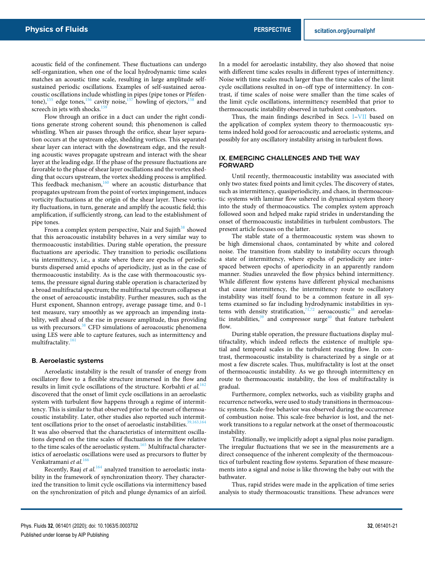acoustic field of the confinement. These fluctuations can undergo self-organization, when one of the local hydrodynamic time scales matches an acoustic time scale, resulting in large amplitude selfsustained periodic oscillations. Examples of self-sustained aeroacoustic oscillations include whistling in pipes (pipe tones or Pfeifentone),<sup>155</sup> edge tones,<sup>156</sup> cavity noise,<sup>157</sup> howling of ejectors,<sup>15</sup> screech in jets with shocks.<sup>1</sup>

Flow through an orifice in a duct can under the right conditions generate strong coherent sound; this phenomenon is called whistling. When air passes through the orifice, shear layer separation occurs at the upstream edge, shedding vortices. This separated shear layer can interact with the downstream edge, and the resulting acoustic waves propagate upstream and interact with the shear layer at the leading edge. If the phase of the pressure fluctuations are favorable to the phase of shear layer oscillations and the vortex shedding that occurs upstream, the vortex shedding process is amplified. This feedback mechanism,<sup>160</sup> where an acoustic disturbance that propagates upstream from the point of vortex impingement, induces vorticity fluctuations at the origin of the shear layer. These vorticity fluctuations, in turn, generate and amplify the acoustic field; this amplification, if sufficiently strong, can lead to the establishment of pipe tones.

From a complex system perspective, Nair and Sujith<sup>38</sup> showed that this aeroacoustic instability behaves in a very similar way to thermoacoustic instabilities. During stable operation, the pressure fluctuations are aperiodic. They transition to periodic oscillations via intermittency, i.e., a state where there are epochs of periodic bursts dispersed amid epochs of aperiodicity, just as in the case of thermoacoustic instability. As is the case with thermoacoustic systems, the pressure signal during stable operation is characterized by a broad multifractal spectrum; the multifractal spectrum collapses at the onset of aeroacoustic instability. Further measures, such as the Hurst exponent, Shannon entropy, average passage time, and 0–1 test measure, vary smoothly as we approach an impending instability, well ahead of the rise in pressure amplitude, thus providing us with precursors.<sup>38</sup> CFD simulations of aeroacoustic phenomena using LES were able to capture features, such as intermittency and multifractality.<sup>16</sup>

#### B. Aeroelastic systems

Aeroelastic instability is the result of transfer of energy from oscillatory flow to a flexible structure immersed in the flow and results in limit cycle oscillations of the structure. Korbahti *et al.*<sup>162</sup> discovered that the onset of limit cycle oscillations in an aeroelastic system with turbulent flow happens through a regime of intermittency. This is similar to that observed prior to the onset of thermoacoustic instability. Later, other studies also reported such intermittent oscillations prior to the onset of aeroelastic instabilities.<sup>3</sup> It was also observed that the characteristics of intermittent oscillations depend on the time scales of fluctuations in the flow relative to the time scales of the aeroelastic system.<sup>165</sup> Multifractal characteristics of aeroelastic oscillations were used as precursors to flutter by Venkatramani *et al.*<sup>16</sup>

Recently, Raaj *et al.*<sup>164</sup> analyzed transition to aeroelastic instability in the framework of synchronization theory. They characterized the transition to limit cycle oscillations via intermittency based on the synchronization of pitch and plunge dynamics of an airfoil. In a model for aeroelastic instability, they also showed that noise with different time scales results in different types of intermittency. Noise with time scales much larger than the time scales of the limit cycle oscillations resulted in on–off type of intermittency. In contrast, if time scales of noise were smaller than the time scales of the limit cycle oscillations, intermittency resembled that prior to thermoacoustic instability observed in turbulent combustors.

Thus, the main findings described in Secs. I–VII based on the application of complex system theory to thermoacoustic systems indeed hold good for aeroacoustic and aeroelastic systems, and possibly for any oscillatory instability arising in turbulent flows.

#### IX. EMERGING CHALLENGES AND THE WAY FORWARD

Until recently, thermoacoustic instability was associated with only two states: fixed points and limit cycles. The discovery of states, such as intermittency, quasiperiodicity, and chaos, in thermoacoustic systems with laminar flow ushered in dynamical system theory into the study of thermoacoustics. The complex system approach followed soon and helped make rapid strides in understanding the onset of thermoacoustic instabilities in turbulent combustors. The present article focuses on the latter.

The stable state of a thermoacoustic system was shown to be high dimensional chaos, contaminated by white and colored noise. The transition from stability to instability occurs through a state of intermittency, where epochs of periodicity are interspaced between epochs of aperiodicity in an apparently random manner. Studies unraveled the flow physics behind intermittency. While different flow systems have different physical mechanisms that cause intermittency, the intermittency route to oscillatory instability was itself found to be a common feature in all systems examined so far including hydrodynamic instabilities in systems with density stratification, $71,72$  aeroacoustic<sup>38</sup> and aeroelastic instabilities, $39$  and compressor surge<sup>40</sup> that feature turbulent flow.

During stable operation, the pressure fluctuations display multifractality, which indeed reflects the existence of multiple spatial and temporal scales in the turbulent reacting flow. In contrast, thermoacoustic instability is characterized by a single or at most a few discrete scales. Thus, multifractality is lost at the onset of thermoacoustic instability. As we go through intermittency en route to thermoacoustic instability, the loss of multifractality is gradual.

Furthermore, complex networks, such as visibility graphs and recurrence networks, were used to study transitions in thermoacoustic systems. Scale-free behavior was observed during the occurrence of combustion noise. This scale-free behavior is lost, and the network transitions to a regular network at the onset of thermoacoustic instability.

Traditionally, we implicitly adopt a signal plus noise paradigm. The irregular fluctuations that we see in the measurements are a direct consequence of the inherent complexity of the thermoacoustics of turbulent reacting flow systems. Separation of these measurements into a signal and noise is like throwing the baby out with the bathwater.

Thus, rapid strides were made in the application of time series analysis to study thermoacoustic transitions. These advances were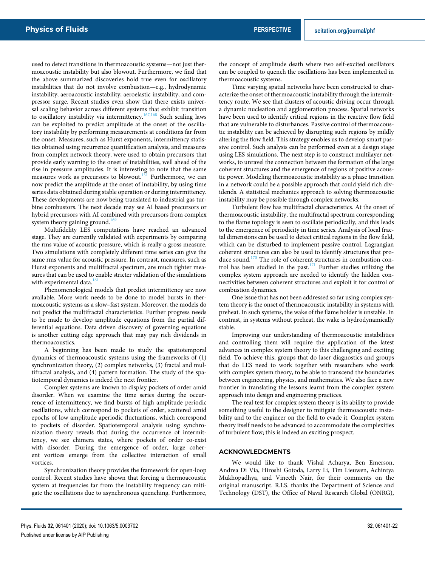used to detect transitions in thermoacoustic systems—not just thermoacoustic instability but also blowout. Furthermore, we find that the above summarized discoveries hold true even for oscillatory instabilities that do not involve combustion—e.g., hydrodynamic instability, aeroacoustic instability, aeroelastic instability, and compressor surge. Recent studies even show that there exists universal scaling behavior across different systems that exhibit transition to oscillatory instability via intermittency.<sup>167,168</sup> Such scaling laws can be exploited to predict amplitude at the onset of the oscillatory instability by performing measurements at conditions far from the onset. Measures, such as Hurst exponents, intermittency statistics obtained using recurrence quantification analysis, and measures from complex network theory, were used to obtain precursors that provide early warning to the onset of instabilities, well ahead of the rise in pressure amplitudes. It is interesting to note that the same measures work as precursors to blowout.<sup>131</sup> Furthermore, we can now predict the amplitude at the onset of instability, by using time series data obtained during stable operation or during intermittency. These developments are now being translated to industrial gas turbine combustors. The next decade may see AI based precursors or hybrid precursors with AI combined with precursors from complex system theory gaining ground.<sup>16</sup>

Multifidelity LES computations have reached an advanced stage. They are currently validated with experiments by comparing the rms value of acoustic pressure, which is really a gross measure. Two simulations with completely different time series can give the same rms value for acoustic pressure. In contrast, measures, such as Hurst exponents and multifractal spectrum, are much tighter measures that can be used to enable stricter validation of the simulations with experimental data.<sup>1</sup>

Phenomenological models that predict intermittency are now available. More work needs to be done to model bursts in thermoacoustic systems as a slow–fast system. Moreover, the models do not predict the multifractal characteristics. Further progress needs to be made to develop amplitude equations from the partial differential equations. Data driven discovery of governing equations is another cutting edge approach that may pay rich dividends in thermoacoustics.

A beginning has been made to study the spatiotemporal dynamics of thermoacoustic systems using the frameworks of (1) synchronization theory, (2) complex networks, (3) fractal and multifractal analysis, and (4) pattern formation. The study of the spatiotemporal dynamics is indeed the next frontier.

Complex systems are known to display pockets of order amid disorder. When we examine the time series during the occurrence of intermittency, we find bursts of high amplitude periodic oscillations, which correspond to pockets of order, scattered amid epochs of low amplitude aperiodic fluctuations, which correspond to pockets of disorder. Spatiotemporal analysis using synchronization theory reveals that during the occurrence of intermittency, we see chimera states, where pockets of order co-exist with disorder. During the emergence of order, large coherent vortices emerge from the collective interaction of small vortices.

Synchronization theory provides the framework for open-loop control. Recent studies have shown that forcing a thermoacoustic system at frequencies far from the instability frequency can mitigate the oscillations due to asynchronous quenching. Furthermore,

the concept of amplitude death where two self-excited oscillators can be coupled to quench the oscillations has been implemented in thermoacoustic systems.

Time varying spatial networks have been constructed to characterize the onset of thermoacoustic instability through the intermittency route. We see that clusters of acoustic driving occur through a dynamic nucleation and agglomeration process. Spatial networks have been used to identify critical regions in the reactive flow field that are vulnerable to disturbances. Passive control of thermoacoustic instability can be achieved by disrupting such regions by mildly altering the flow field. This strategy enables us to develop smart passive control. Such analysis can be performed even at a design stage using LES simulations. The next step is to construct multilayer networks, to unravel the connection between the formation of the large coherent structures and the emergence of regions of positive acoustic power. Modeling thermoacoustic instability as a phase transition in a network could be a possible approach that could yield rich dividends. A statistical mechanics approach to solving thermoacoustic instability may be possible through complex networks.

Turbulent flow has multifractal characteristics. At the onset of thermoacoustic instability, the multifractal spectrum corresponding to the flame topology is seen to oscillate periodically, and this leads to the emergence of periodicity in time series. Analysis of local fractal dimensions can be used to detect critical regions in the flow field, which can be disturbed to implement passive control. Lagrangian coherent structures can also be used to identify structures that produce sound.<sup>170</sup> The role of coherent structures in combustion control has been studied in the past. $171$  Further studies utilizing the complex system approach are needed to identify the hidden connectivities between coherent structures and exploit it for control of combustion dynamics.

One issue that has not been addressed so far using complex system theory is the onset of thermoacoustic instability in systems with preheat. In such systems, the wake of the flame holder is unstable. In contrast, in systems without preheat, the wake is hydrodynamically stable.

Improving our understanding of thermoacoustic instabilities and controlling them will require the application of the latest advances in complex system theory to this challenging and exciting field. To achieve this, groups that do laser diagnostics and groups that do LES need to work together with researchers who work with complex system theory, to be able to transcend the boundaries between engineering, physics, and mathematics. We also face a new frontier in translating the lessons learnt from the complex system approach into design and engineering practices.

The real test for complex system theory is its ability to provide something useful to the designer to mitigate thermoacoustic instability and to the engineer on the field to evade it. Complex system theory itself needs to be advanced to accommodate the complexities of turbulent flow; this is indeed an exciting prospect.

#### ACKNOWLEDGMENTS

We would like to thank Vishal Acharya, Ben Emerson, Andrea Di Via, Hiroshi Gotoda, Larry Li, Tim Lieuwen, Achintya Mukhopadhya, and Vineeth Nair, for their comments on the original manuscript. R.I.S. thanks the Department of Science and Technology (DST), the Office of Naval Research Global (ONRG),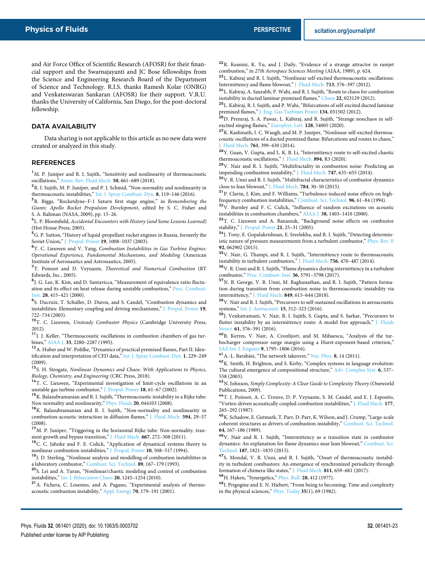and Air Force Office of Scientific Research (AFOSR) for their financial support and the Swarnajayanti and JC Bose fellowships from the Science and Engineering Research Board of the Department of Science and Technology. R.I.S. thanks Ramesh Kolar (ONRG) and Venkateswaran Sankaran (AFOSR) for their support. V.R.U. thanks the University of California, San Diego, for the post-doctoral fellowship.

#### DATA AVAILABILITY

Data sharing is not applicable to this article as no new data were created or analyzed in this study.

#### REFERENCES

<sup>1</sup>M. P. Juniper and R. I. Sujith, "Sensitivity and nonlinearity of thermoacoustic oscillations," Annu. Rev. Fluid Mech. **50**, 661–689 (2018).

<sup>2</sup>R. I. Sujith, M. P. Juniper, and P. J. Schmid, "Non-normality and nonlinearity in thermoacoustic instabilities," Int. J. Spray Combust. Dyn. **8**, 119–146 (2016).

<sup>3</sup>R. Biggs, "Rocketdyne–F-1 Saturn first stage engine," in *Remembering the Giants: Apollo Rocket Propulsion Development*, edited by S. C. Fisher and S. A. Rahman (NASA, 2009), pp. 15–26.

4 L. P. Bloomfield, *Accidental Encounters with History (and Some Lessons Learned)* (Hot House Press, 2005).

<sup>5</sup>G. P. Sutton, "History of liquid-propellant rocket engines in Russia, formerly the Soviet Union," J. Propul. Power **19**, 1008–1037 (2003).

<sup>6</sup>T. C. Lieuwen and V. Yang, *Combustion Instabilities in Gas Turbine Engines: Operational Experience, Fundamental Mechanisms, and Modeling* (American Institute of Aeronautics and Astronautics, 2005).

<sup>7</sup>T. Poinsot and D. Veynante, *Theoretical and Numerical Combustion* (RT Edwards, Inc., 2005).

<sup>8</sup>J. G. Lee, K. Kim, and D. Santavicca, "Measurement of equivalence ratio fluctuation and its effect on heat release during unstable combustion," Proc. Combust. Inst. **28**, 415–421 (2000).

<sup>9</sup>S. Ducruix, T. Schuller, D. Durox, and S. Candel, "Combustion dynamics and instabilities: Elementary coupling and driving mechanisms," J. Propul. Power **19**, 722–734 (2003).

<sup>10</sup>T. C. Lieuwen, *Unsteady Combustor Physics* (Cambridge University Press, 2012).

<sup>11</sup>J. J. Keller, "Thermoacoustic oscillations in combustion chambers of gas turbines," AIAA J. **33**, 2280–2287 (1995).

<sup>12</sup> A. Huber and W. Polifke, "Dynamics of practical premixed flames, Part II: Identification and interpretation of CFD data," Int. J. Spray Combust. Dyn. **1**, 229–249 (2009).

<sup>13</sup>S. H. Strogatz, *Nonlinear Dynamics and Chaos: With Applications to Physics, Biology, Chemistry, and Engineering* (CRC Press, 2018).

<sup>14</sup>T. C. Lieuwen, "Experimental investigation of limit-cycle oscillations in an unstable gas turbine combustor," J. Propul. Power **18**, 61–67 (2002).

 $^{15}\mathrm{K}$ . Balasubramanian and R. I. Sujith, "Thermoacoustic instability in a Rijke tube: Non-normality and nonlinearity," Phys. Fluids **20**, 044103 (2008).

<sup>16</sup>K. Balasubramanian and R. I. Sujith, "Non-normality and nonlinearity in combustion-acoustic interaction in diffusion flames," J. Fluid Mech. **594**, 29–57 (2008).

<sup>17</sup>M. P. Juniper, "Triggering in the horizontal Rijke tube: Non-normality, transient growth and bypass transition," J. Fluid Mech. **667**, 272–308 (2011).

<sup>18</sup>C. C. Jahnke and F. E. Culick, "Application of dynamical systems theory to nonlinear combustion instabilities," J. Propul. Power **10**, 508–517 (1994).

<sup>19</sup>J. D. Sterling, "Nonlinear analysis and modelling of combustion instabilities in a laboratory combustor," Combust. Sci. Technol. **89**, 167–179 (1993).

<sup>20</sup>S. Lei and A. Turan, "Nonlinear/chaotic modeling and control of combustion instabilities," Int. J. Bifurcation Chaos **20**, 1245–1254 (2010).

<sup>21</sup>A. Fichera, C. Losenno, and A. Pagano, "Experimental analysis of thermoacoustic combustion instability," Appl. Energy **70**, 179–191 (2001).

<sup>22</sup>R. Keanini, K. Yu, and J. Daily, "Evidence of a strange attractor in ramjet combustion," in *27th Aerospace Sciences Meeting* (AIAA, 1989), p. 624.

 $^{23}\rm L$  Kabiraj and R. I. Sujith, "Nonlinear self-excited thermoacoustic oscillations: Intermittency and flame blowout," J. Fluid Mech. **713**, 376–397 (2012).

<sup>24</sup>L. Kabiraj, A. Saurabh, P. Wahi, and R. I. Sujith, "Route to chaos for combustion instability in ducted laminar premixed flames," Chaos **22**, 023129 (2012).

 $^{\bf 25}$  L. Kabiraj, R. I. Sujith, and P. Wahi, "Bifurcations of self-excited ducted laminar premixed flames," J. Eng. Gas Turbines Power **134**, 031502 (2012).

<sup>26</sup>D. Premraj, S. A. Pawar, L. Kabiraj, and R. Sujith, "Strange nonchaos in selfexcited singing flames," Europhys. Lett. **128**, 54005 (2020).

<sup>27</sup>K. Kashinath, I. C. Waugh, and M. P. Juniper, "Nonlinear self-excited thermoacoustic oscillations of a ducted premixed flame: Bifurcations and routes to chaos," J. Fluid Mech. **761**, 399–430 (2014).

<sup>28</sup>Y. Guan, V. Gupta, and L. K. B. Li, "Intermittency route to self-excited chaotic thermoacoustic oscillations," J. Fluid Mech. **894**, R3 (2020).

<sup>29</sup>V. Nair and R. I. Sujith, "Multifractality in combustion noise: Predicting an impending combustion instability," J. Fluid Mech. **747**, 635–655 (2014).

<sup>30</sup>V. R. Unni and R. I. Sujith, "Multifractal characteristics of combustor dynamics close to lean blowout," J. Fluid Mech. **784**, 30–50 (2015).

<sup>31</sup>P. Clavin, J. Kim, and F. Williams, "Turbulence-induced noise effects on highfrequency combustion instabilities," Combust. Sci. Technol. **96**, 61–84 (1994).

<sup>32</sup>V. Burnley and F. C. Culick, "Influence of random excitations on acoustic instabilities in combustion chambers," AIAA J. **38**, 1403–1410 (2000).

<sup>33</sup>T. C. Lieuwen and A. Banaszuk, "Background noise effects on combustor stability," J. Propul. Power **21**, 25–31 (2005).

<sup>34</sup>J. Tony, E. Gopalakrishnan, E. Sreelekha, and R. I. Sujith, "Detecting deterministic nature of pressure measurements from a turbulent combustor," Phys. Rev. E **92**, 062902 (2015).

<sup>35</sup>V. Nair, G. Thampi, and R. I. Sujith, "Intermittency route to thermoacoustic instability in turbulent combustors," J. Fluid Mech. **756**, 470–487 (2014).

<sup>36</sup>V. R. Unni and R. I. Sujith, "Flame dynamics during intermittency in a turbulent combustor," Proc. Combust. Inst. **36**, 3791–3798 (2017).

<sup>37</sup>N. B. George, V. R. Unni, M. Raghunathan, and R. I. Sujith, "Pattern formation during transition from combustion noise to thermoacoustic instability via intermittency," J. Fluid Mech. **849**, 615–644 (2018).

 $^{\bf 38}{\rm V}$  . Nair and R. I. Sujith, "Precursors to self-sustained oscillations in aeroacoustic systems," Int. J. Aeroacoust. **15**, 312–323 (2016).

39<sub>J.</sub> Venkatramani, V. Nair, R. I. Sujith, S. Gupta, and S. Sarkar, "Precursors to flutter instability by an intermittency route: A model free approach," J. Fluids Struct. **61**, 376–391 (2016).

<sup>40</sup>B. Kerres, V. Nair, A. Cronhjort, and M. Mihaescu, "Analysis of the turbocharger compressor surge margin using a Hurst-exponent-based criterion," SAE Int. J. Engines **9**, 1795–1806 (2016).

<sup>41</sup>A.-L. Barabási, "The network takeover," Nat. Phys. **8**, 14 (2011).

<sup>42</sup>K. Smith, H. Brighton, and S. Kirby, "Complex systems in language evolution: The cultural emergence of compositional structure," Adv. Complex Syst. **6**, 537– 558 (2003).

<sup>43</sup>N. Johnson, *Simply Complexity: A Clear Guide to Complexity Theory* (Oneworld Publications, 2009).

<sup>44</sup>T. J. Poinsot, A. C. Trouve, D. P. Veynante, S. M. Candel, and E. J. Esposito, "Vortex-driven acoustically coupled combustion instabilities," J. Fluid Mech. **177**, 265–292 (1987).

<sup>45</sup>K. Schadow, E. Gutmark, T. Parr, D. Parr, K. Wilson, and J. Crump, "Large-scale coherent structures as drivers of combustion instability," Combust. Sci. Technol. **64**, 167–186 (1989).

<sup>46</sup>V. Nair and R. I. Sujith, "Intermittency as a transition state in combustor dynamics: An explanation for flame dynamics near lean blowout," Combust. Sci. Technol. **187**, 1821–1835 (2015).

<sup>47</sup>S. Mondal, V. R. Unni, and R. I. Sujith, "Onset of thermoacoustic instability in turbulent combustors: An emergence of synchronized periodicity through formation of chimera-like states," J. Fluid Mech. **811**, 659–681 (2017).

<sup>48</sup>H. Haken, "Synergetics," Phys. Bull. **28**, 412 (1977).

<sup>49</sup>I. Prigogine and E. N. Hiebert, "From being to becoming: Time and complexity in the physical sciences," Phys. Today **35**(1), 69 (1982).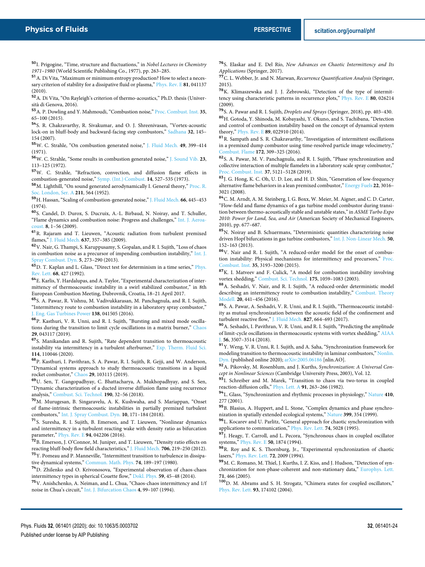<sup>50</sup>I. Prigogine, "Time, structure and fluctuations," in *Nobel Lectures in Chemistry 1971–1980* (World Scientific Publishing Co., 1977), pp. 263–285.

<sup>51</sup>A. Di Vita, "Maximum or minimum entropy production? How to select a necessary criterion of stability for a dissipative fluid or plasma," Phys. Rev. E **81**, 041137 (2010).

<sup>52</sup>A. Di Vita, "On Rayleigh's criterion of thermo-acoustics," Ph.D. thesis (Università di Genova, 2016).

<sup>53</sup>A. P. Dowling and Y. Mahmoudi, "Combustion noise," Proc. Combust. Inst. **35**, 65–100 (2015).

<sup>54</sup>S. R. Chakravarthy, R. Sivakumar, and O. J. Shreenivasan, "Vortex-acoustic lock-on in bluff-body and backward-facing step combustors," Sadhana **32**, 145– 154 (2007).

<sup>55</sup>W. C. Strahle, "On combustion generated noise," J. Fluid Mech. **49**, 399–414 (1971).

<sup>56</sup>W. C. Strahle, "Some results in combustion generated noise," J. Sound Vib. **23**, 113–125 (1972).

<sup>57</sup>W. C. Strahle, "Refraction, convection, and diffusion flame effects in combustion-generated noise," Symp. (Int.) Combust. **14**, 527–535 (1973).

<sup>58</sup>M. Lighthill, "On sound generated aerodynamically I. General theory," Proc. R. Soc. London, Ser. A **211**, 564 (1952).

<sup>59</sup>H. Hassan, "Scaling of combustion-generated noise," J. Fluid Mech. **66**, 445–453 (1974).

<sup>60</sup>S. Candel, D. Durox, S. Ducruix, A.-L. Birbaud, N. Noiray, and T. Schuller, "Flame dynamics and combustion noise: Progress and challenges," Int. J. Aeroacoust. **8**, 1–56 (2009).

<sup>61</sup>R. Rajaram and T. Lieuwen, "Acoustic radiation from turbulent premixed flames," J. Fluid Mech. **637**, 357–385 (2009).

<sup>62</sup>V. Nair, G. Thampi, S. Karuppusamy, S. Gopalan, and R. I. Sujith, "Loss of chaos in combustion noise as a precursor of impending combustion instability," Int. J. Spray Combust. Dyn. **5**, 273–290 (2013).

 $63$  D. T. Kaplan and L. Glass, "Direct test for determinism in a time series," Phys. Rev. Lett. **68**, 427 (1992).

<sup>64</sup>E. Karlis, Y. Hardalupas, and A. Taylor, "Experimental characterization of intermittency of thermoacoustic instability in a swirl stabilized combustor," in 8th European Combustion Meeting, Dubrovnik, Croatia, 18–21 April 2017.

<sup>65</sup>S. A. Pawar, R. Vishnu, M. Vadivukkarasan, M. Panchagnula, and R. I. Sujith, "Intermittency route to combustion instability in a laboratory spray combustor," J. Eng. Gas Turbines Power **138**, 041505 (2016).

<sup>66</sup>P. Kasthuri, V. R. Unni, and R. I. Sujith, "Bursting and mixed mode oscillations during the transition to limit cycle oscillations in a matrix burner," Chaos **29**, 043117 (2019).

<sup>67</sup>S. Manikandan and R. Sujith, "Rate dependent transition to thermoacoustic instability via intermittency in a turbulent afterburner," Exp. Therm. Fluid Sci. **114**, 110046 (2020).

<sup>68</sup>P. Kasthuri, I. Pavithran, S. A. Pawar, R. I. Sujith, R. Gejji, and W. Anderson, "Dynamical systems approach to study thermoacoustic transitions in a liquid rocket combustor," Chaos **29**, 103115 (2019).

<sup>69</sup>U. Sen, T. Gangopadhyay, C. Bhattacharya, A. Mukhopadhyay, and S. Sen, "Dynamic characterization of a ducted inverse diffusion flame using recurrence analysis," Combust. Sci. Technol. **190**, 32–56 (2018).

<sup>70</sup>M. Murugesan, B. Singaravelu, A. K. Kushwaha, and S. Mariappan, "Onset of flame-intrinsic thermoacoustic instabilities in partially premixed turbulent combustors," Int. J. Spray Combust. Dyn. **10**, 171–184 (2018).

<sup>71</sup>S. Suresha, R. I. Sujith, B. Emerson, and T. Lieuwen, "Nonlinear dynamics and intermittency in a turbulent reacting wake with density ratio as bifurcation parameter," Phys. Rev. E **94**, 042206 (2016).

<sup>72</sup>B. Emerson, J. O'Connor, M. Juniper, and T. Lieuwen, "Density ratio effects on reacting bluff-body flow field characteristics," J. Fluid Mech. **706**, 219–250 (2012). <sup>73</sup>Y. Pomeau and P. Manneville, "Intermittent transition to turbulence in dissipative dynamical systems," Commun. Math. Phys. **74**, 189–197 (1980).

<sup>74</sup>D. Zhilenko and O. Krivonosova, "Experimental observation of chaos-chaos intermittency types in spherical Couette flow," Dokl. Phys. **59**, 45–48 (2014).

<sup>75</sup>V. Anishchenko, A. Neiman, and L. Chua, "Chaos-chaos intermittency and 1/f noise in Chua's circuit," Int. J. Bifurcation Chaos **4**, 99–107 (1994).

<sup>76</sup>S. Elaskar and E. Del Río, *New Advances on Chaotic Intermittency and Its Applications* (Springer, 2017).

<sup>77</sup>C. L. Webber, Jr. and N. Marwan, *Recurrence Quantification Analysis* (Springer, 2015).

 $78$ K. Klimaszewska and J. J. Żebrowski, "Detection of the type of intermittency using characteristic patterns in recurrence plots," Phys. Rev. E **80**, 026214 (2009).

<sup>79</sup>S. A. Pawar and R. I. Sujith, *Droplets and Sprays* (Springer, 2018), pp. 403–430.

<sup>80</sup>H. Gotoda, Y. Shinoda, M. Kobayashi, Y. Okuno, and S. Tachibana, "Detection and control of combustion instability based on the concept of dynamical system theory," Phys. Rev. E **89**, 022910 (2014).

<sup>81</sup>R. Sampath and S. R. Chakravarthy, "Investigation of intermittent oscillations in a premixed dump combustor using time-resolved particle image velocimetry," Combust. Flame **172**, 309–325 (2016).

<sup>82</sup>S. A. Pawar, M. V. Panchagnula, and R. I. Sujith, "Phase synchronization and collective interaction of multiple flamelets in a laboratory scale spray combustor," Proc. Combust. Inst. **37**, 5121–5128 (2019).

<sup>83</sup>J. G. Hong, K. C. Oh, U. D. Lee, and H. D. Shin, "Generation of low-frequency alternative flame behaviors in a lean premixed combustor," Energy Fuels **22**, 3016– 3021 (2008).

<sup>84</sup>C. M. Arndt, A. M. Steinberg, I. G. Boxx, W. Meier, M. Aigner, and C. D. Carter, "Flow-field and flame dynamics of a gas turbine model combustor during transition between thermo-acoustically stable and unstable states," in *ASME Turbo Expo 2010: Power for Land, Sea, and Air* (American Society of Mechanical Engineers, 2010), pp. 677–687.

<sup>85</sup>N. Noiray and B. Schuermans, "Deterministic quantities characterizing noise driven Hopf bifurcations in gas turbine combustors," Int. J. Non-Linear Mech. **50**, 152–163 (2013).

<sup>86</sup>V. Nair and R. I. Sujith, "A reduced-order model for the onset of combustion instability: Physical mechanisms for intermittency and precursors," Proc. Combust. Inst. **35**, 3193–3200 (2015).

 $^{87}{\rm K}$  I. Matveev and F. Culick, "A model for combustion instability involving vortex shedding," Combust. Sci. Technol. **175**, 1059–1083 (2003).

<sup>88</sup>A. Seshadri, V. Nair, and R. I. Sujith, "A reduced-order deterministic model describing an intermittency route to combustion instability," Combust. Theory Modell. **20**, 441–456 (2016).

<sup>89</sup>S. A. Pawar, A. Seshadri, V. R. Unni, and R. I. Sujith, "Thermoacoustic instability as mutual synchronization between the acoustic field of the confinement and turbulent reactive flow," J. Fluid Mech. **827**, 664–693 (2017).

 $\rm{^{90}A}.$  Seshadri, I. Pavithran, V. R. Unni, and R. I. Sujith, "Predicting the amplitude of limit-cycle oscillations in thermoacoustic systems with vortex shedding," AIAA J. **56**, 3507–3514 (2018).

<sup>91</sup>Y. Weng, V. R. Unni, R. I. Sujith, and A. Saha, "Synchronization framework for modeling transition to thermoacoustic instability in laminar combustors," Nonlin. Dyn. (published online 2020); arXiv:2005.06186 [nlin.AO].

<sup>92</sup>A. Pikovsky, M. Rosenblum, and J. Kurths, *Synchronization: A Universal Concept in Nonlinear Sciences* (Cambridge University Press, 2003), Vol. 12.

<sup>93</sup>I. Schreiber and M. Marek, "Transition to chaos via two-torus in coupled reaction-diffusion cells," Phys. Lett. A **91**, 263–266 (1982).

<sup>94</sup>L. Glass, "Synchronization and rhythmic processes in physiology," Nature **410**, 277 (2001).

95 B. Blasius, A. Huppert, and L. Stone, "Complex dynamics and phase synchronization in spatially extended ecological systems," Nature **399**, 354 (1999).

<sup>96</sup>L. Kocarev and U. Parlitz, "General approach for chaotic synchronization with applications to communication," Phys. Rev. Lett. **74**, 5028 (1995).

97J. Heagy, T. Carroll, and L. Pecora, "Synchronous chaos in coupled oscillator systems," Phys. Rev. E **50**, 1874 (1994).

98R. Roy and K. S. Thornburg, Jr., "Experimental synchronization of chaotic lasers," Phys. Rev. Lett. **72**, 2009 (1994).

99 M. C. Romano, M. Thiel, J. Kurths, I. Z. Kiss, and J. Hudson, "Detection of synchronization for non-phase-coherent and non-stationary data," Europhys. Lett. **71**, 466 (2005).

<sup>100</sup>D. M. Abrams and S. H. Strogatz, "Chimera states for coupled oscillators," Phys. Rev. Lett. **93**, 174102 (2004).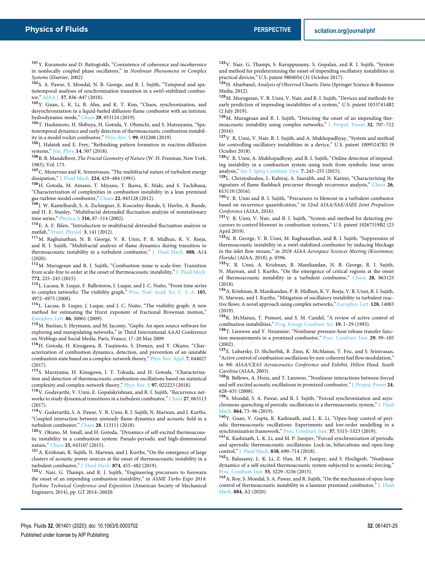<sup>101</sup>Y. Kuramoto and D. Battogtokh, "Coexistence of coherence and incoherence in nonlocally coupled phase oscillators," in *Nonlinear Phenomena in Complex Systems* (Elsevier, 2002).

<sup>102</sup>S. A. Pawar, S. Mondal, N. B. George, and R. I. Sujith, "Temporal and spatiotemporal analyses of synchronization transition in a swirl-stabilized combustor," AIAA J. **57**, 836–847 (2018).

<sup>103</sup>Y. Guan, L. K. Li, B. Ahn, and K. T. Kim, "Chaos, synchronization, and desynchronization in a liquid-fueled diffusion-flame combustor with an intrinsic hydrodynamic mode," Chaos **29**, 053124 (2019).

<sup>104</sup>T. Hashimoto, H. Shibuya, H. Gotoda, Y. Ohmichi, and S. Matsuyama, "Spatiotemporal dynamics and early detection of thermoacoustic combustion instability in a model rocket combustor," Phys. Rev. E **99**, 032208 (2019).

<sup>105</sup>J. Halatek and E. Frey, "Rethinking pattern formation in reaction-diffusion systems," Nat. Phys. **14**, 507 (2018).

<sup>106</sup>B. B. Mandelbrot, *The Fractal Geometry of Nature* (W. H. Freeman, New York, 1983), Vol. 173.

<sup>107</sup>C. Meneveau and K. Sreenivasan, "The multifractal nature of turbulent energy dissipation," J. Fluid Mech. **224**, 429–484 (1991).

<sup>108</sup>H. Gotoda, M. Amano, T. Miyano, T. Ikawa, K. Maki, and S. Tachibana, "Characterization of complexities in combustion instability in a lean premixed gas-turbine model combustor," Chaos **22**, 043128 (2012).

109 J. W. Kantelhardt, S. A. Zschiegner, E. Koscielny-Bunde, S. Havlin, A. Bunde, and H. E. Stanley, "Multifractal detrended fluctuation analysis of nonstationary time series," Physica A **316**, 87–114 (2002).

<sup>110</sup>E. A. F. Ihlen, "Introduction to multifractal detrended fluctuation analysis in matlab," Front. Physiol. **3**, 141 (2012).

<sup>111</sup>M. Raghunathan, N. B. George, V. R. Unni, P. R. Midhun, K. V. Reeja, and R. I. Sujith, "Multifractal analysis of flame dynamics during transition to thermoacoustic instability in a turbulent combustor," J. Fluid Mech. **888**, A14 (2020).

<sup>112</sup>M. Murugesan and R. I. Sujith, "Combustion noise is scale-free: Transition from scale-free to order at the onset of thermoacoustic instability," J. Fluid Mech. **772**, 225–245 (2015).

 $^{113}\rm L$  Lacasa, B. Luque, F. Ballesteros, J. Luque, and J. C. Nuño, "From time series to complex networks: The visibility graph," Proc. Natl. Acad. Sci. U. S. A. **105**, 4972–4975 (2008).

<sup>114</sup>L. Lacasa, B. Luque, J. Luque, and J. C. Nuño, "The visibility graph: A new method for estimating the Hurst exponent of fractional Brownian motion," Europhys. Lett. **86**, 30001 (2009).

<sup>115</sup>M. Bastian, S. Heymann, and M. Jacomy, "Gephi: An open source software for exploring and manipulating networks," in Third International AAAI Conference on Weblogs and Social Media, Paris, France, 17–20 May 2009.

<sup>116</sup>H. Gotoda, H. Kinugawa, R. Tsujimoto, S. Domen, and Y. Okuno, "Characterization of combustion dynamics, detection, and prevention of an unstable combustion state based on a complex-network theory," Phys. Rev. Appl. **7**, 044027 (2017).

<sup>117</sup>S. Murayama, H. Kinugawa, I. T. Tokuda, and H. Gotoda, "Characterization and detection of thermoacoustic combustion oscillations based on statistical complexity and complex-network theory," Phys. Rev. E **97**, 022223 (2018).

<sup>118</sup>V. Godavarthi, V. Unni, E. Gopalakrishnan, and R. I. Sujith, "Recurrence networks to study dynamical transitions in a turbulent combustor," Chaos **27**, 063113  $(2017)$ 

<sup>119</sup>V. Godavarthi, S. A. Pawar, V. R. Unni, R. I. Sujith, N. Marwan, and J. Kurths, "Coupled interaction between unsteady flame dynamics and acoustic field in a turbulent combustor," Chaos **28**, 113111 (2018).

<sup>120</sup>Y. Okuno, M. Small, and H. Gotoda, "Dynamics of self-excited thermoacoustic instability in a combustion system: Pseudo-periodic and high-dimensional nature," Chaos **25**, 043107 (2015).

<sup>121</sup>A. Krishnan, R. Sujith, N. Marwan, and J. Kurths, "On the emergence of large clusters of acoustic power sources at the onset of thermoacoustic instability in a turbulent combustor," J. Fluid Mech. **874**, 455–482 (2019).

<sup>122</sup>V. Nair, G. Thampi, and R. I. Sujith, "Engineering precursors to forewarn the onset of an impending combustion instability," in *ASME Turbo Expo 2014: Turbine Technical Conference and Exposition* (American Society of Mechanical Engineers, 2014), pp. GT 2014–26020.

<sup>123</sup> V. Nair, G. Thampi, S. Karuppusamy, S. Gopalan, and R. I. Sujith, "System and method for predetermining the onset of impending oscillatory instabilities in practical devices," U.S. patent 9804054 (31 October 2017).

<sup>124</sup>H. Abarbanel, *Analysis of Observed Chaotic Data* (Springer Science & Business Media, 2012).

<sup>125</sup>M. Murugesan, V. R. Unni, V. Nair, and R. I. Sujith, "Devices and methods for early prediction of impending instabilities of a system," U.S. patent 10337414B2 (2 July 2019).

<sup>126</sup>M. Murugesan and R. I. Sujith, "Detecting the onset of an impending thermoacoustic instability using complex networks," J. Propul. Power **32**, 707–712 (2016).

127<sub>V</sub>. R. Unni, V. Nair, R. I. Sujith, and A. Mukhopadhyay, "System and method for controlling oscillatory instabilities in a device," U.S. patent 10095247B2 (9 October 2018).

<sup>128</sup>V. R. Unni, A. Mukhopadhyay, and R. I. Sujith, "Online detection of impending instability in a combustion system using tools from symbolic time series analysis," Int. J. Spray Combust. Dyn. **7**, 243–255 (2015).

<sup>129</sup>L. Christodoulou, L. Kabiraj, A. Saurabh, and N. Karimi, "Characterizing the signature of flame flashback precursor through recurrence analysis," Chaos **26**, 013110 (2016).

 $130\,\mathrm{V}$  . R. Unni and R. I. Sujith, "Precursors to blowout in a turbulent combustor based on recurrence quantification," in *52nd AIAA/SAE/ASEE Joint Propulsion Conference* (AIAA, 2016).

<sup>131</sup> V. R. Unni, V. Nair, and R. I. Sujith, "System and method for detecting precursors to control blowout in combustion systems," U.S. patent 10267519B2 (23 April 2019).

<sup>132</sup>N. B. George, V. R. Unni, M. Raghunathan, and R. I. Sujith, "Suppression of thermoacoustic instability in a swirl-stabilized combustor by inducing blockage in the inlet flow stream," in *2018 AIAA Aerospace Sciences Meeting (Kissimmee, Florida)* (AIAA, 2018), p. 0396.

<sup>133</sup>V. R. Unni, A. Krishnan, R. Manikandan, N. B. George, R. I. Sujith, N. Marwan, and J. Kurths, "On the emergence of critical regions at the onset of thermoacoustic instability in a turbulent combustor," Chaos **28**, 063125 (2018).

<sup>134</sup>A. Krishnan, R. Manikandan, P. R. Midhun, K. V. Reeja, V. R. Unni, R. I. Sujith, N. Marwan, and J. Kurths, "Mitigation of oscillatory instability in turbulent reactive flows: A novel approach using complex networks," Europhys. Lett. **128**, 14003 (2019).

<sup>135</sup>K. McManus, T. Poinsot, and S. M. Candel, "A review of active control of combustion instabilities," Prog. Energy Combust. Sci. **19**, 1–29 (1993).

<sup>136</sup>T. Lieuwen and Y. Neumeier, "Nonlinear pressure-heat release transfer function measurements in a premixed combustor," Proc. Combust. Inst. **29**, 99–105 (2002).

<sup>137</sup>E. Lubarsky, D. Shcherbik, B. Zinn, K. McManus, T. Fric, and S. Srinivasan, "Active control of combustion oscillations by non-coherent fuel flow modulation," in *9th AIAA/CEAS Aeroacoustics Conference and Exhibit, Hilton Head, South Carolina* (AIAA, 2003).

<sup>138</sup>B. Bellows, A. Hreiz, and T. Lieuwen, "Nonlinear interactions between forced and self-excited acoustic oscillations in premixed combustor," J. Propul. Power **24**, 628–631 (2008).

<sup>139</sup>S. Mondal, S. A. Pawar, and R. I. Sujith, "Forced synchronization and asynchronous quenching of periodic oscillations in a thermoacoustic system," J. Fluid Mech. **864**, 73–96 (2019).

<sup>140</sup>Y. Guan, V. Gupta, K. Kashinath, and L. K. Li, "Open-loop control of periodic thermoacoustic oscillations: Experiments and low-order modelling in a synchronization framework," Proc. Combust. Inst. **37**, 5315–5323 (2019).

<sup>141</sup>K. Kashinath, L. K. Li, and M. P. Juniper, "Forced synchronization of periodic and aperiodic thermoacoustic oscillations: Lock-in, bifurcations and open-loop control," J. Fluid Mech. **838**, 690–714 (2018).

<sup>142</sup>S. Balusamy, L. K. Li, Z. Han, M. P. Juniper, and S. Hochgreb, "Nonlinear dynamics of a self-excited thermoacoustic system subjected to acoustic forcing," Proc. Combust. Inst. **35**, 3229–3236 (2015).

<sup>143</sup>A. Roy, S. Mondal, S. A. Pawar, and R. Sujith, "On the mechanism of open-loop control of thermoacoustic instability in a laminar premixed combustor," J. Fluid Mech. **884**, A2 (2020).